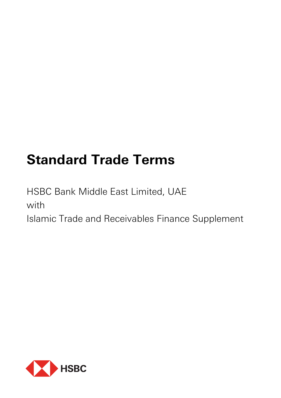# **Standard Trade Terms**

HSBC Bank Middle East Limited, UAE with Islamic Trade and Receivables Finance Supplement

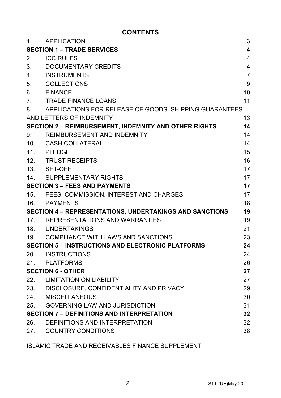# **CONTENTS**

| 1.  | APPLICATION                                                  | 3              |
|-----|--------------------------------------------------------------|----------------|
|     | <b>SECTION 1 - TRADE SERVICES</b>                            | 4              |
| 2.  | <b>ICC RULES</b>                                             | $\overline{4}$ |
| 3.  | DOCUMENTARY CREDITS                                          | 4              |
| 4.  | <b>INSTRUMENTS</b>                                           | $\overline{7}$ |
| 5.  | <b>COLLECTIONS</b>                                           | 9              |
| 6.  | <b>FINANCE</b>                                               | 10             |
| 7.  | <b>TRADE FINANCE LOANS</b>                                   | 11             |
| 8.  | APPLICATIONS FOR RELEASE OF GOODS, SHIPPING GUARANTEES       |                |
|     | AND LETTERS OF INDEMNITY                                     | 13             |
|     | <b>SECTION 2 - REIMBURSEMENT, INDEMNITY AND OTHER RIGHTS</b> | 14             |
| 9.  | REIMBURSEMENT AND INDEMNITY                                  | 14             |
| 10. | CASH COLLATERAL                                              | 14             |
| 11. | <b>PLEDGE</b>                                                | 15             |
| 12. | <b>TRUST RECEIPTS</b>                                        | 16             |
| 13. | SET-OFF                                                      | 17             |
| 14. | SUPPLEMENTARY RIGHTS                                         | 17             |
|     | <b>SECTION 3 - FEES AND PAYMENTS</b>                         | 17             |
| 15. | FEES, COMMISSION, INTEREST AND CHARGES                       | 17             |
| 16. | <b>PAYMENTS</b>                                              | 18             |
|     | SECTION 4 - REPRESENTATIONS, UNDERTAKINGS AND SANCTIONS      | 19             |
|     | 17. REPRESENTATIONS AND WARRANTIES                           | 19             |
|     | 18. UNDERTAKINGS                                             | 21             |
| 19. | COMPLIANCE WITH LAWS AND SANCTIONS                           | 23             |
|     | <b>SECTION 5 - INSTRUCTIONS AND ELECTRONIC PLATFORMS</b>     | 24             |
| 20. | INSTRUCTIONS                                                 | 24             |
| 21. | PLATFORMS                                                    | 26             |
|     | <b>SECTION 6 - OTHER</b>                                     | 27             |
| 22. | <b>LIMITATION ON LIABILITY</b>                               | 27             |
| 23. | DISCLOSURE, CONFIDENTIALITY AND PRIVACY                      | 29             |
| 24. | <b>MISCELLANEOUS</b>                                         | 30             |
| 25. | <b>GOVERNING LAW AND JURISDICTION</b>                        | 31             |
|     | <b>SECTION 7 - DEFINITIONS AND INTERPRETATION</b>            | 32             |
| 26. | DEFINITIONS AND INTERPRETATION                               | 32             |
| 27. | <b>COUNTRY CONDITIONS</b>                                    | 38             |
|     |                                                              |                |

ISLAMIC TRADE AND RECEIVABLES FINANCE SUPPLEMENT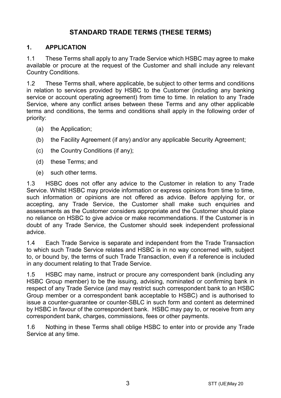# **STANDARD TRADE TERMS (THESE TERMS)**

## **1. APPLICATION**

1.1 These Terms shall apply to any Trade Service which HSBC may agree to make available or procure at the request of the Customer and shall include any relevant Country Conditions.

1.2 These Terms shall, where applicable, be subject to other terms and conditions in relation to services provided by HSBC to the Customer (including any banking service or account operating agreement) from time to time. In relation to any Trade Service, where any conflict arises between these Terms and any other applicable terms and conditions, the terms and conditions shall apply in the following order of priority:

- (a) the Application;
- (b) the Facility Agreement (if any) and/or any applicable Security Agreement;
- (c) the Country Conditions (if any);
- (d) these Terms; and
- (e) such other terms.

1.3 HSBC does not offer any advice to the Customer in relation to any Trade Service. Whilst HSBC may provide information or express opinions from time to time, such information or opinions are not offered as advice. Before applying for, or accepting, any Trade Service, the Customer shall make such enquiries and assessments as the Customer considers appropriate and the Customer should place no reliance on HSBC to give advice or make recommendations. If the Customer is in doubt of any Trade Service, the Customer should seek independent professional advice.

1.4 Each Trade Service is separate and independent from the Trade Transaction to which such Trade Service relates and HSBC is in no way concerned with, subject to, or bound by, the terms of such Trade Transaction, even if a reference is included in any document relating to that Trade Service.

1.5 HSBC may name, instruct or procure any correspondent bank (including any HSBC Group member) to be the issuing, advising, nominated or confirming bank in respect of any Trade Service (and may restrict such correspondent bank to an HSBC Group member or a correspondent bank acceptable to HSBC) and is authorised to issue a counter-guarantee or counter-SBLC in such form and content as determined by HSBC in favour of the correspondent bank. HSBC may pay to, or receive from any correspondent bank, charges, commissions, fees or other payments.

1.6 Nothing in these Terms shall oblige HSBC to enter into or provide any Trade Service at any time.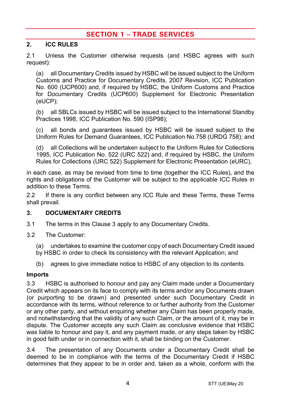# **SECTION 1 – TRADE SERVICES**

## **2. ICC RULES**

2.1 Unless the Customer otherwise requests (and HSBC agrees with such request):

(a) all Documentary Credits issued by HSBC will be issued subject to the Uniform Customs and Practice for Documentary Credits, 2007 Revision, ICC Publication No. 600 (UCP600) and, if required by HSBC, the Uniform Customs and Practice for Documentary Credits (UCP600) Supplement for Electronic Presentation (eUCP);

(b) all SBLCs issued by HSBC will be issued subject to the International Standby Practices 1998, ICC Publication No. 590 (ISP98);

(c) all bonds and guarantees issued by HSBC will be issued subject to the Uniform Rules for Demand Guarantees, ICC Publication No.758 (URDG 758); and

(d) all Collections will be undertaken subject to the Uniform Rules for Collections 1995, ICC Publication No. 522 (URC 522) and, if required by HSBC, the Uniform Rules for Collections (URC 522) Supplement for Electronic Presentation (eURC),

in each case, as may be revised from time to time (together the ICC Rules), and the rights and obligations of the Customer will be subject to the applicable ICC Rules in addition to these Terms.

2.2 If there is any conflict between any ICC Rule and these Terms, these Terms shall prevail.

## <span id="page-3-0"></span>**3. DOCUMENTARY CREDITS**

- 3.1 The terms in this Claus[e 3](#page-3-0) apply to any Documentary Credits.
- 3.2 The Customer:
	- (a) undertakes to examine the customer copy of each Documentary Credit issued by HSBC in order to check its consistency with the relevant Application; and
	- (b) agrees to give immediate notice to HSBC of any objection to its contents.

#### **Imports**

3.3 HSBC is authorised to honour and pay any Claim made under a Documentary Credit which appears on its face to comply with its terms and/or any Documents drawn (or purporting to be drawn) and presented under such Documentary Credit in accordance with its terms, without reference to or further authority from the Customer or any other party, and without enquiring whether any Claim has been properly made, and notwithstanding that the validity of any such Claim, or the amount of it, may be in dispute. The Customer accepts any such Claim as conclusive evidence that HSBC was liable to honour and pay it, and any payment made, or any steps taken by HSBC in good faith under or in connection with it, shall be binding on the Customer.

3.4 The presentation of any Documents under a Documentary Credit shall be deemed to be in compliance with the terms of the Documentary Credit if HSBC determines that they appear to be in order and, taken as a whole, conform with the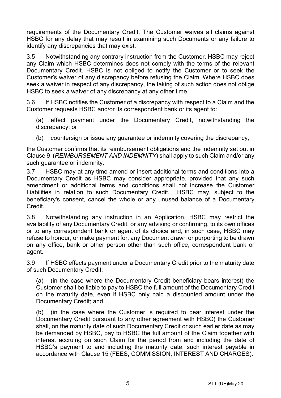requirements of the Documentary Credit. The Customer waives all claims against HSBC for any delay that may result in examining such Documents or any failure to identify any discrepancies that may exist.

3.5 Notwithstanding any contrary instruction from the Customer, HSBC may reject any Claim which HSBC determines does not comply with the terms of the relevant Documentary Credit. HSBC is not obliged to notify the Customer or to seek the Customer's waiver of any discrepancy before refusing the Claim. Where HSBC does seek a waiver in respect of any discrepancy, the taking of such action does not oblige HSBC to seek a waiver of any discrepancy at any other time.

3.6 If HSBC notifies the Customer of a discrepancy with respect to a Claim and the Customer requests HSBC and/or its correspondent bank or its agent to:

(a) effect payment under the Documentary Credit, notwithstanding the discrepancy; or

(b) countersign or issue any quarantee or indemnity covering the discrepancy,

the Customer confirms that its reimbursement obligations and the indemnity set out in Claus[e 9](#page-13-0) (*[REIMBURSEMENT AND INDEMNITY](#page-13-0)*) shall apply to such Claim and/or any such guarantee or indemnity.

3.7 HSBC may at any time amend or insert additional terms and conditions into a Documentary Credit as HSBC may consider appropriate, provided that any such amendment or additional terms and conditions shall not increase the Customer Liabilities in relation to such Documentary Credit. HSBC may, subject to the beneficiary's consent, cancel the whole or any unused balance of a Documentary Credit.

3.8 Notwithstanding any instruction in an Application, HSBC may restrict the availability of any Documentary Credit, or any advising or confirming, to its own offices or to any correspondent bank or agent of its choice and, in such case, HSBC may refuse to honour, or make payment for, any Document drawn or purporting to be drawn on any office, bank or other person other than such office, correspondent bank or agent.

3.9 If HSBC effects payment under a Documentary Credit prior to the maturity date of such Documentary Credit:

(a) (in the case where the Documentary Credit beneficiary bears interest) the Customer shall be liable to pay to HSBC the full amount of the Documentary Credit on the maturity date, even if HSBC only paid a discounted amount under the Documentary Credit; and

(b) (in the case where the Customer is required to bear interest under the Documentary Credit pursuant to any other agreement with HSBC) the Customer shall, on the maturity date of such Documentary Credit or such earlier date as may be demanded by HSBC, pay to HSBC the full amount of the Claim together with interest accruing on such Claim for the period from and including the date of HSBC's payment to and including the maturity date, such interest payable in accordance with Clause [15](#page-16-0) [\(FEES, COMMISSION, INTEREST AND CHARGES\)](#page-16-0).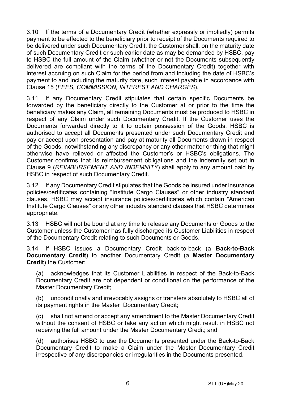3.10 If the terms of a Documentary Credit (whether expressly or impliedly) permits payment to be effected to the beneficiary prior to receipt of the Documents required to be delivered under such Documentary Credit, the Customer shall, on the maturity date of such Documentary Credit or such earlier date as may be demanded by HSBC, pay to HSBC the full amount of the Claim (whether or not the Documents subsequently delivered are compliant with the terms of the Documentary Credit) together with interest accruing on such Claim for the period from and including the date of HSBC's payment to and including the maturity date, such interest payable in accordance with Clause [15](#page-16-0) (*[FEES, COMMISSION, INTEREST AND CHARGES](#page-16-0)*).

3.11 If any Documentary Credit stipulates that certain specific Documents be forwarded by the beneficiary directly to the Customer at or prior to the time the beneficiary makes any Claim, all remaining Documents must be produced to HSBC in respect of any Claim under such Documentary Credit. If the Customer uses the Documents forwarded directly to it to obtain possession of the Goods, HSBC is authorised to accept all Documents presented under such Documentary Credit and pay or accept upon presentation and pay at maturity all Documents drawn in respect of the Goods, notwithstanding any discrepancy or any other matter or thing that might otherwise have relieved or affected the Customer's or HSBC's obligations. The Customer confirms that its reimbursement obligations and the indemnity set out in Clause [9](#page-13-0) (*[REIMBURSEMENT AND INDEMNITY](#page-13-0)*) shall apply to any amount paid by HSBC in respect of such Documentary Credit.

3.12 If any Documentary Credit stipulates that the Goods be insured under insurance policies/certificates containing "Institute Cargo Clauses" or other industry standard clauses, HSBC may accept insurance policies/certificates which contain "American Institute Cargo Clauses" or any other industry standard clauses that HSBC determines appropriate.

3.13 HSBC will not be bound at any time to release any Documents or Goods to the Customer unless the Customer has fully discharged its Customer Liabilities in respect of the Documentary Credit relating to such Documents or Goods.

<span id="page-5-0"></span>3.14 If HSBC issues a Documentary Credit back-to-back (a **Back-to-Back Documentary Credit**) to another Documentary Credit (a **Master Documentary Credit**) the Customer:

(a) acknowledges that its Customer Liabilities in respect of the Back-to-Back Documentary Credit are not dependent or conditional on the performance of the Master Documentary Credit;

(b) unconditionally and irrevocably assigns or transfers absolutely to HSBC all of its payment rights in the Master Documentary Credit;

(c) shall not amend or accept any amendment to the Master Documentary Credit without the consent of HSBC or take any action which might result in HSBC not receiving the full amount under the Master Documentary Credit; and

(d) authorises HSBC to use the Documents presented under the Back-to-Back Documentary Credit to make a Claim under the Master Documentary Credit irrespective of any discrepancies or irregularities in the Documents presented.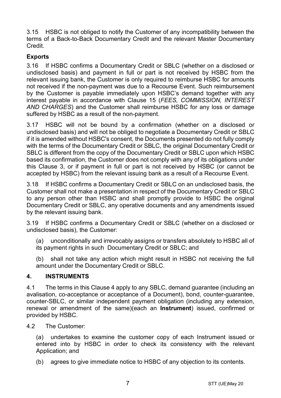3.15 HSBC is not obliged to notify the Customer of any incompatibility between the terms of a Back-to-Back Documentary Credit and the relevant Master Documentary Credit.

## **Exports**

3.16 If HSBC confirms a Documentary Credit or SBLC (whether on a disclosed or undisclosed basis) and payment in full or part is not received by HSBC from the relevant issuing bank, the Customer is only required to reimburse HSBC for amounts not received if the non-payment was due to a Recourse Event. Such reimbursement by the Customer is payable immediately upon HSBC's demand together with any interest payable in accordance with Clause [15](#page-16-0) (*[FEES, COMMISSION, INTEREST](#page-16-0)  [AND CHARGES](#page-16-0)*) and the Customer shall reimburse HSBC for any loss or damage suffered by HSBC as a result of the non-payment.

3.17 HSBC will not be bound by a confirmation (whether on a disclosed or undisclosed basis) and will not be obliged to negotiate a Documentary Credit or SBLC if it is amended without HSBC's consent, the Documents presented do not fully comply with the terms of the Documentary Credit or SBLC, the original Documentary Credit or SBLC is different from the copy of the Documentary Credit or SBLC upon which HSBC based its confirmation, the Customer does not comply with any of its obligations under this Clause [3,](#page-3-0) or if payment in full or part is not received by HSBC (or cannot be accepted by HSBC) from the relevant issuing bank as a result of a Recourse Event.

3.18 If HSBC confirms a Documentary Credit or SBLC on an undisclosed basis, the Customer shall not make a presentation in respect of the Documentary Credit or SBLC to any person other than HSBC and shall promptly provide to HSBC the original Documentary Credit or SBLC, any operative documents and any amendments issued by the relevant issuing bank.

3.19 If HSBC confirms a Documentary Credit or SBLC (whether on a disclosed or undisclosed basis), the Customer:

(a) unconditionally and irrevocably assigns or transfers absolutely to HSBC all of its payment rights in such Documentary Credit or SBLC; and

(b) shall not take any action which might result in HSBC not receiving the full amount under the Documentary Credit or SBLC.

## <span id="page-6-0"></span>**4. INSTRUMENTS**

4.1 The terms in this Claus[e 4](#page-6-0) apply to any SBLC, demand guarantee (including an avalisation, co-acceptance or acceptance of a Document), bond, counter-guarantee, counter-SBLC, or similar independent payment obligation (including any extension, renewal or amendment of the same)(each an **Instrument**) issued, confirmed or provided by HSBC.

4.2 The Customer:

(a) undertakes to examine the customer copy of each Instrument issued or entered into by HSBC in order to check its consistency with the relevant Application; and

(b) agrees to give immediate notice to HSBC of any objection to its contents.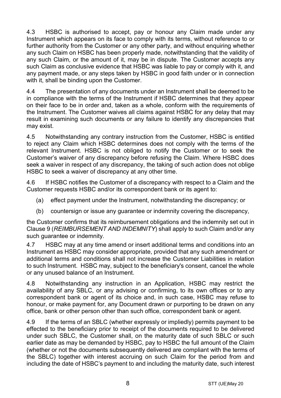4.3 HSBC is authorised to accept, pay or honour any Claim made under any Instrument which appears on its face to comply with its terms, without reference to or further authority from the Customer or any other party, and without enquiring whether any such Claim on HSBC has been properly made, notwithstanding that the validity of any such Claim, or the amount of it, may be in dispute. The Customer accepts any such Claim as conclusive evidence that HSBC was liable to pay or comply with it, and any payment made, or any steps taken by HSBC in good faith under or in connection with it, shall be binding upon the Customer.

4.4 The presentation of any documents under an Instrument shall be deemed to be in compliance with the terms of the Instrument if HSBC determines that they appear on their face to be in order and, taken as a whole, conform with the requirements of the Instrument. The Customer waives all claims against HSBC for any delay that may result in examining such documents or any failure to identify any discrepancies that may exist.

4.5 Notwithstanding any contrary instruction from the Customer, HSBC is entitled to reject any Claim which HSBC determines does not comply with the terms of the relevant Instrument. HSBC is not obliged to notify the Customer or to seek the Customer's waiver of any discrepancy before refusing the Claim. Where HSBC does seek a waiver in respect of any discrepancy, the taking of such action does not oblige HSBC to seek a waiver of discrepancy at any other time.

4.6 If HSBC notifies the Customer of a discrepancy with respect to a Claim and the Customer requests HSBC and/or its correspondent bank or its agent to:

- (a) effect payment under the Instrument, notwithstanding the discrepancy; or
- (b) countersign or issue any guarantee or indemnity covering the discrepancy,

the Customer confirms that its reimbursement obligations and the indemnity set out in Clause [9](#page-13-0) (*[REIMBURSEMENT AND INDEMNITY](#page-13-0)*) shall apply to such Claim and/or any such quarantee or indemnity.

4.7 HSBC may at any time amend or insert additional terms and conditions into an Instrument as HSBC may consider appropriate, provided that any such amendment or additional terms and conditions shall not increase the Customer Liabilities in relation to such Instrument. HSBC may, subject to the beneficiary's consent, cancel the whole or any unused balance of an Instrument.

4.8 Notwithstanding any instruction in an Application, HSBC may restrict the availability of any SBLC, or any advising or confirming, to its own offices or to any correspondent bank or agent of its choice and, in such case, HSBC may refuse to honour, or make payment for, any Document drawn or purporting to be drawn on any office, bank or other person other than such office, correspondent bank or agent.

4.9 If the terms of an SBLC (whether expressly or impliedly) permits payment to be effected to the beneficiary prior to receipt of the documents required to be delivered under such SBLC, the Customer shall, on the maturity date of such SBLC or such earlier date as may be demanded by HSBC, pay to HSBC the full amount of the Claim (whether or not the documents subsequently delivered are compliant with the terms of the SBLC) together with interest accruing on such Claim for the period from and including the date of HSBC's payment to and including the maturity date, such interest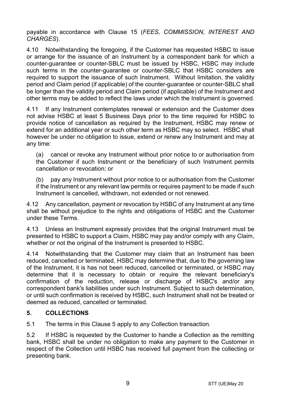payable in accordance with Clause [15](#page-16-0) (*[FEES, COMMISSION, INTEREST AND](#page-16-0)  [CHARGES](#page-16-0)*).

4.10 Notwithstanding the foregoing, if the Customer has requested HSBC to issue or arrange for the issuance of an Instrument by a correspondent bank for which a counter-guarantee or counter-SBLC must be issued by HSBC, HSBC may include such terms in the counter-guarantee or counter-SBLC that HSBC considers are required to support the issuance of such Instrument. Without limitation, the validity period and Claim period (if applicable) of the counter-guarantee or counter-SBLC shall be longer than the validity period and Claim period (if applicable) of the Instrument and other terms may be added to reflect the laws under which the Instrument is governed.

4.11 If any Instrument contemplates renewal or extension and the Customer does not advise HSBC at least 5 Business Days prior to the time required for HSBC to provide notice of cancellation as required by the Instrument, HSBC may renew or extend for an additional year or such other term as HSBC may so select. HSBC shall however be under no obligation to issue, extend or renew any Instrument and may at any time:

(a) cancel or revoke any Instrument without prior notice to or authorisation from the Customer if such Instrument or the beneficiary of such Instrument permits cancellation or revocation; or

(b) pay any Instrument without prior notice to or authorisation from the Customer if the Instrument or any relevant law permits or requires payment to be made if such Instrument is cancelled, withdrawn, not extended or not renewed.

4.12 Any cancellation, payment or revocation by HSBC of any Instrument at any time shall be without prejudice to the rights and obligations of HSBC and the Customer under these Terms.

4.13 Unless an Instrument expressly provides that the original Instrument must be presented to HSBC to support a Claim, HSBC may pay and/or comply with any Claim, whether or not the original of the Instrument is presented to HSBC.

4.14 Notwithstanding that the Customer may claim that an Instrument has been reduced, cancelled or terminated, HSBC may determine that, due to the governing law of the Instrument, it is has not been reduced, cancelled or terminated, or HSBC may determine that it is necessary to obtain or require the relevant beneficiary's confirmation of the reduction, release or discharge of HSBC's and/or any correspondent bank's liabilities under such Instrument. Subject to such determination, or until such confirmation is received by HSBC, such Instrument shall not be treated or deemed as reduced, cancelled or terminated.

# <span id="page-8-0"></span>**5. COLLECTIONS**

5.1 The terms in this Claus[e 5](#page-8-0) apply to any Collection transaction.

5.2 If HSBC is requested by the Customer to handle a Collection as the remitting bank, HSBC shall be under no obligation to make any payment to the Customer in respect of the Collection until HSBC has received full payment from the collecting or presenting bank.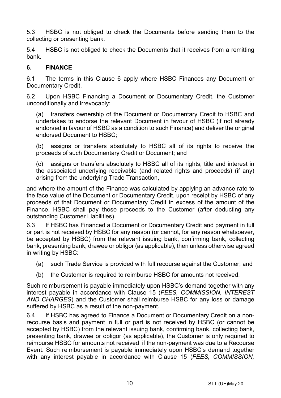5.3 HSBC is not obliged to check the Documents before sending them to the collecting or presenting bank.

5.4 HSBC is not obliged to check the Documents that it receives from a remitting bank.

## <span id="page-9-0"></span>**6. FINANCE**

6.1 The terms in this Clause [6](#page-9-0) apply where HSBC Finances any Document or Documentary Credit.

6.2 Upon HSBC Financing a Document or Documentary Credit, the Customer unconditionally and irrevocably:

(a) transfers ownership of the Document or Documentary Credit to HSBC and undertakes to endorse the relevant Document in favour of HSBC (if not already endorsed in favour of HSBC as a condition to such Finance) and deliver the original endorsed Document to HSBC;

(b) assigns or transfers absolutely to HSBC all of its rights to receive the proceeds of such Documentary Credit or Document; and

(c) assigns or transfers absolutely to HSBC all of its rights, title and interest in the associated underlying receivable (and related rights and proceeds) (if any) arising from the underlying Trade Transaction,

and where the amount of the Finance was calculated by applying an advance rate to the face value of the Document or Documentary Credit, upon receipt by HSBC of any proceeds of that Document or Documentary Credit in excess of the amount of the Finance, HSBC shall pay those proceeds to the Customer (after deducting any outstanding Customer Liabilities).

6.3 If HSBC has Financed a Document or Documentary Credit and payment in full or part is not received by HSBC for any reason (or cannot, for any reason whatsoever, be accepted by HSBC) from the relevant issuing bank, confirming bank, collecting bank, presenting bank, drawee or obligor (as applicable), then unless otherwise agreed in writing by HSBC:

- (a) such Trade Service is provided with full recourse against the Customer; and
- (b) the Customer is required to reimburse HSBC for amounts not received.

Such reimbursement is payable immediately upon HSBC's demand together with any interest payable in accordance with Clause [15](#page-16-0) (*[FEES, COMMISSION, INTEREST](#page-16-0)  [AND CHARGES](#page-16-0)*) and the Customer shall reimburse HSBC for any loss or damage suffered by HSBC as a result of the non-payment.

6.4 If HSBC has agreed to Finance a Document or Documentary Credit on a nonrecourse basis and payment in full or part is not received by HSBC (or cannot be accepted by HSBC) from the relevant issuing bank, confirming bank, collecting bank, presenting bank, drawee or obligor (as applicable), the Customer is only required to reimburse HSBC for amounts not received if the non-payment was due to a Recourse Event. Such reimbursement is payable immediately upon HSBC's demand together with any interest payable in accordance with Clause [15](#page-16-0) (*[FEES, COMMISSION,](#page-16-0)*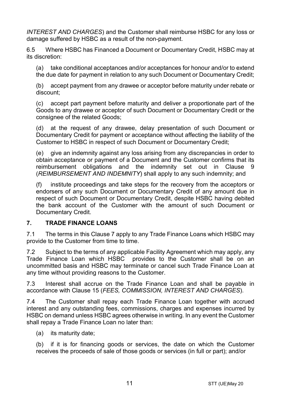*[INTEREST AND CHARGES](#page-16-0)*) and the Customer shall reimburse HSBC for any loss or damage suffered by HSBC as a result of the non-payment.

6.5 Where HSBC has Financed a Document or Documentary Credit, HSBC may at its discretion:

(a) take conditional acceptances and/or acceptances for honour and/or to extend the due date for payment in relation to any such Document or Documentary Credit;

(b) accept payment from any drawee or acceptor before maturity under rebate or discount;

(c) accept part payment before maturity and deliver a proportionate part of the Goods to any drawee or acceptor of such Document or Documentary Credit or the consignee of the related Goods;

(d) at the request of any drawee, delay presentation of such Document or Documentary Credit for payment or acceptance without affecting the liability of the Customer to HSBC in respect of such Document or Documentary Credit;

(e) give an indemnity against any loss arising from any discrepancies in order to obtain acceptance or payment of a Document and the Customer confirms that its reimbursement obligations and the indemnity set out in Clause [9](#page-13-0) (*[REIMBURSEMENT AND INDEMNITY](#page-13-0)*) shall apply to any such indemnity; and

(f) institute proceedings and take steps for the recovery from the acceptors or endorsers of any such Document or Documentary Credit of any amount due in respect of such Document or Documentary Credit, despite HSBC having debited the bank account of the Customer with the amount of such Document or Documentary Credit.

## <span id="page-10-0"></span>**7. TRADE FINANCE LOANS**

7.1 The terms in this Claus[e 7](#page-10-0) apply to any Trade Finance Loans which HSBC may provide to the Customer from time to time.

7.2 Subject to the terms of any applicable Facility Agreement which may apply, any Trade Finance Loan which HSBC provides to the Customer shall be on an uncommitted basis and HSBC may terminate or cancel such Trade Finance Loan at any time without providing reasons to the Customer.

7.3 Interest shall accrue on the Trade Finance Loan and shall be payable in accordance with Clause [15](#page-16-0) (*[FEES, COMMISSION, INTEREST AND CHARGES](#page-16-0)*).

7.4 The Customer shall repay each Trade Finance Loan together with accrued interest and any outstanding fees, commissions, charges and expenses incurred by HSBC on demand unless HSBC agrees otherwise in writing. In any event the Customer shall repay a Trade Finance Loan no later than:

(a) its maturity date;

(b) if it is for financing goods or services, the date on which the Customer receives the proceeds of sale of those goods or services (in full or part); and/or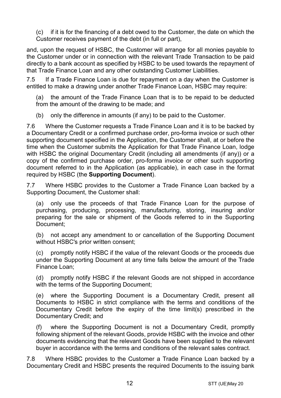(c) if it is for the financing of a debt owed to the Customer, the date on which the Customer receives payment of the debt (in full or part),

and, upon the request of HSBC, the Customer will arrange for all monies payable to the Customer under or in connection with the relevant Trade Transaction to be paid directly to a bank account as specified by HSBC to be used towards the repayment of that Trade Finance Loan and any other outstanding Customer Liabilities.

7.5 If a Trade Finance Loan is due for repayment on a day when the Customer is entitled to make a drawing under another Trade Finance Loan, HSBC may require:

(a) the amount of the Trade Finance Loan that is to be repaid to be deducted from the amount of the drawing to be made; and

(b) only the difference in amounts (if any) to be paid to the Customer.

7.6 Where the Customer requests a Trade Finance Loan and it is to be backed by a Documentary Credit or a confirmed purchase order, pro-forma invoice or such other supporting document specified in the Application, the Customer shall, at or before the time when the Customer submits the Application for that Trade Finance Loan, lodge with HSBC the original Documentary Credit (including all amendments (if any)) or a copy of the confirmed purchase order, pro-forma invoice or other such supporting document referred to in the Application (as applicable), in each case in the format required by HSBC (the **Supporting Document**).

7.7 Where HSBC provides to the Customer a Trade Finance Loan backed by a Supporting Document, the Customer shall:

(a) only use the proceeds of that Trade Finance Loan for the purpose of purchasing, producing, processing, manufacturing, storing, insuring and/or preparing for the sale or shipment of the Goods referred to in the Supporting Document;

(b) not accept any amendment to or cancellation of the Supporting Document without HSBC's prior written consent;

(c) promptly notify HSBC if the value of the relevant Goods or the proceeds due under the Supporting Document at any time falls below the amount of the Trade Finance Loan;

(d) promptly notify HSBC if the relevant Goods are not shipped in accordance with the terms of the Supporting Document;

(e) where the Supporting Document is a Documentary Credit, present all Documents to HSBC in strict compliance with the terms and conditions of the Documentary Credit before the expiry of the time limit(s) prescribed in the Documentary Credit; and

where the Supporting Document is not a Documentary Credit, promptly following shipment of the relevant Goods, provide HSBC with the invoice and other documents evidencing that the relevant Goods have been supplied to the relevant buyer in accordance with the terms and conditions of the relevant sales contract.

7.8 Where HSBC provides to the Customer a Trade Finance Loan backed by a Documentary Credit and HSBC presents the required Documents to the issuing bank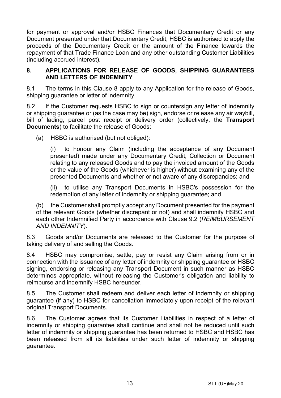for payment or approval and/or HSBC Finances that Documentary Credit or any Document presented under that Documentary Credit, HSBC is authorised to apply the proceeds of the Documentary Credit or the amount of the Finance towards the repayment of that Trade Finance Loan and any other outstanding Customer Liabilities (including accrued interest).

#### <span id="page-12-0"></span>**8. APPLICATIONS FOR RELEASE OF GOODS, SHIPPING GUARANTEES AND LETTERS OF INDEMNITY**

8.1 The terms in this Clause [8](#page-12-0) apply to any Application for the release of Goods, shipping guarantee or letter of indemnity.

8.2 If the Customer requests HSBC to sign or countersign any letter of indemnity or shipping guarantee or (as the case may be) sign, endorse or release any air waybill, bill of lading, parcel post receipt or delivery order (collectively, the **Transport Documents**) to facilitate the release of Goods:

(a) HSBC is authorised (but not obliged):

(i) to honour any Claim (including the acceptance of any Document presented) made under any Documentary Credit, Collection or Document relating to any released Goods and to pay the invoiced amount of the Goods or the value of the Goods (whichever is higher) without examining any of the presented Documents and whether or not aware of any discrepancies; and

(ii) to utilise any Transport Documents in HSBC's possession for the redemption of any letter of indemnity or shipping guarantee; and

(b) the Customer shall promptly accept any Document presented for the payment of the relevant Goods (whether discrepant or not) and shall indemnify HSBC and each other Indemnified Party in accordance with Clause [9.2](#page-13-1) (*[REIMBURSEMENT](#page-13-0)  [AND INDEMNITY](#page-13-0)*).

8.3 Goods and/or Documents are released to the Customer for the purpose of taking delivery of and selling the Goods.

8.4 HSBC may compromise, settle, pay or resist any Claim arising from or in connection with the issuance of any letter of indemnity or shipping guarantee or HSBC signing, endorsing or releasing any Transport Document in such manner as HSBC determines appropriate, without releasing the Customer's obligation and liability to reimburse and indemnify HSBC hereunder.

8.5 The Customer shall redeem and deliver each letter of indemnity or shipping guarantee (if any) to HSBC for cancellation immediately upon receipt of the relevant original Transport Documents.

8.6 The Customer agrees that its Customer Liabilities in respect of a letter of indemnity or shipping guarantee shall continue and shall not be reduced until such letter of indemnity or shipping guarantee has been returned to HSBC and HSBC has been released from all its liabilities under such letter of indemnity or shipping guarantee.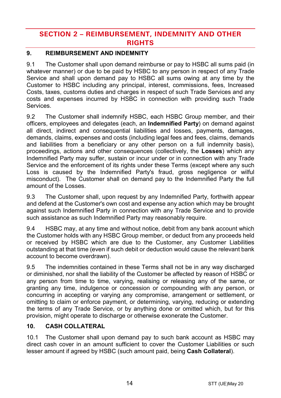# **SECTION 2 – REIMBURSEMENT, INDEMNITY AND OTHER RIGHTS**

# <span id="page-13-0"></span>**9. REIMBURSEMENT AND INDEMNITY**

9.1 The Customer shall upon demand reimburse or pay to HSBC all sums paid (in whatever manner) or due to be paid by HSBC to any person in respect of any Trade Service and shall upon demand pay to HSBC all sums owing at any time by the Customer to HSBC including any principal, interest, commissions, fees, Increased Costs, taxes, customs duties and charges in respect of such Trade Services and any costs and expenses incurred by HSBC in connection with providing such Trade Services.

<span id="page-13-1"></span>9.2 The Customer shall indemnify HSBC, each HSBC Group member, and their officers, employees and delegates (each, an **Indemnified Party**) on demand against all direct, indirect and consequential liabilities and losses, payments, damages, demands, claims, expenses and costs (including legal fees and fees, claims, demands and liabilities from a beneficiary or any other person on a full indemnity basis), proceedings, actions and other consequences (collectively, the **Losses**) which any Indemnified Party may suffer, sustain or incur under or in connection with any Trade Service and the enforcement of its rights under these Terms (except where any such Loss is caused by the Indemnified Party's fraud, gross negligence or wilful misconduct). The Customer shall on demand pay to the Indemnified Party the full amount of the Losses.

9.3 The Customer shall, upon request by any Indemnified Party, forthwith appear and defend at the Customer's own cost and expense any action which may be brought against such Indemnified Party in connection with any Trade Service and to provide such assistance as such Indemnified Party may reasonably require.

9.4 HSBC may, at any time and without notice, debit from any bank account which the Customer holds with any HSBC Group member, or deduct from any proceeds held or received by HSBC which are due to the Customer, any Customer Liabilities outstanding at that time (even if such debit or deduction would cause the relevant bank account to become overdrawn).

9.5 The indemnities contained in these Terms shall not be in any way discharged or diminished, nor shall the liability of the Customer be affected by reason of HSBC or any person from time to time, varying, realising or releasing any of the same, or granting any time, indulgence or concession or compounding with any person, or concurring in accepting or varying any compromise, arrangement or settlement, or omitting to claim or enforce payment, or determining, varying, reducing or extending the terms of any Trade Service, or by anything done or omitted which, but for this provision, might operate to discharge or otherwise exonerate the Customer.

# <span id="page-13-2"></span>**10. CASH COLLATERAL**

10.1 The Customer shall upon demand pay to such bank account as HSBC may direct cash cover in an amount sufficient to cover the Customer Liabilities or such lesser amount if agreed by HSBC (such amount paid, being **Cash Collateral**).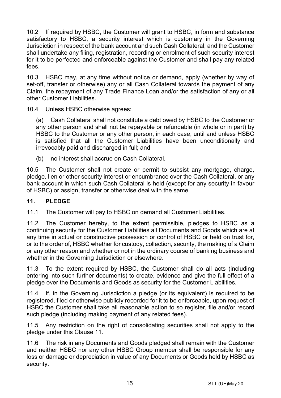10.2 If required by HSBC, the Customer will grant to HSBC, in form and substance satisfactory to HSBC, a security interest which is customary in the Governing Jurisdiction in respect of the bank account and such Cash Collateral, and the Customer shall undertake any filing, registration, recording or enrolment of such security interest for it to be perfected and enforceable against the Customer and shall pay any related fees.

10.3 HSBC may, at any time without notice or demand, apply (whether by way of set-off, transfer or otherwise) any or all Cash Collateral towards the payment of any Claim, the repayment of any Trade Finance Loan and/or the satisfaction of any or all other Customer Liabilities.

10.4 Unless HSBC otherwise agrees:

(a) Cash Collateral shall not constitute a debt owed by HSBC to the Customer or any other person and shall not be repayable or refundable (in whole or in part) by HSBC to the Customer or any other person, in each case, until and unless HSBC is satisfied that all the Customer Liabilities have been unconditionally and irrevocably paid and discharged in full; and

(b) no interest shall accrue on Cash Collateral.

10.5 The Customer shall not create or permit to subsist any mortgage, charge, pledge, lien or other security interest or encumbrance over the Cash Collateral, or any bank account in which such Cash Collateral is held (except for any security in favour of HSBC) or assign, transfer or otherwise deal with the same.

## <span id="page-14-0"></span>**11. PLEDGE**

11.1 The Customer will pay to HSBC on demand all Customer Liabilities.

11.2 The Customer hereby, to the extent permissible, pledges to HSBC as a continuing security for the Customer Liabilities all Documents and Goods which are at any time in actual or constructive possession or control of HSBC or held on trust for, or to the order of, HSBC whether for custody, collection, security, the making of a Claim or any other reason and whether or not in the ordinary course of banking business and whether in the Governing Jurisdiction or elsewhere.

11.3 To the extent required by HSBC, the Customer shall do all acts (including entering into such further documents) to create, evidence and give the full effect of a pledge over the Documents and Goods as security for the Customer Liabilities.

11.4 If, in the Governing Jurisdiction a pledge (or its equivalent) is required to be registered, filed or otherwise publicly recorded for it to be enforceable, upon request of HSBC the Customer shall take all reasonable action to so register, file and/or record such pledge (including making payment of any related fees).

11.5 Any restriction on the right of consolidating securities shall not apply to the pledge under this Clause [11.](#page-14-0)

11.6 The risk in any Documents and Goods pledged shall remain with the Customer and neither HSBC nor any other HSBC Group member shall be responsible for any loss or damage or depreciation in value of any Documents or Goods held by HSBC as security.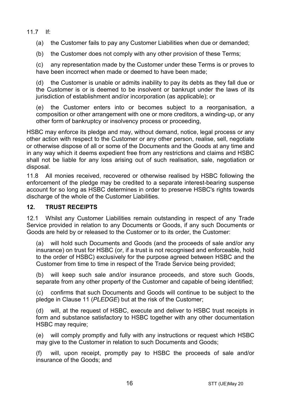11.7 If:

(a) the Customer fails to pay any Customer Liabilities when due or demanded;

(b) the Customer does not comply with any other provision of these Terms;

(c) any representation made by the Customer under these Terms is or proves to have been incorrect when made or deemed to have been made:

(d) the Customer is unable or admits inability to pay its debts as they fall due or the Customer is or is deemed to be insolvent or bankrupt under the laws of its jurisdiction of establishment and/or incorporation (as applicable); or

(e) the Customer enters into or becomes subject to a reorganisation, a composition or other arrangement with one or more creditors, a winding-up, or any other form of bankruptcy or insolvency process or proceeding,

HSBC may enforce its pledge and may, without demand, notice, legal process or any other action with respect to the Customer or any other person, realise, sell, negotiate or otherwise dispose of all or some of the Documents and the Goods at any time and in any way which it deems expedient free from any restrictions and claims and HSBC shall not be liable for any loss arising out of such realisation, sale, negotiation or disposal.

11.8 All monies received, recovered or otherwise realised by HSBC following the enforcement of the pledge may be credited to a separate interest-bearing suspense account for so long as HSBC determines in order to preserve HSBC's rights towards discharge of the whole of the Customer Liabilities.

## **12. TRUST RECEIPTS**

12.1 Whilst any Customer Liabilities remain outstanding in respect of any Trade Service provided in relation to any Documents or Goods, if any such Documents or Goods are held by or released to the Customer or to its order, the Customer:

(a) will hold such Documents and Goods (and the proceeds of sale and/or any insurance) on trust for HSBC (or, if a trust is not recognised and enforceable, hold to the order of HSBC) exclusively for the purpose agreed between HSBC and the Customer from time to time in respect of the Trade Service being provided;

(b) will keep such sale and/or insurance proceeds, and store such Goods, separate from any other property of the Customer and capable of being identified;

(c) confirms that such Documents and Goods will continue to be subject to the pledge in Claus[e 11](#page-14-0) (*[PLEDGE](#page-14-0)*) but at the risk of the Customer;

(d) will, at the request of HSBC, execute and deliver to HSBC trust receipts in form and substance satisfactory to HSBC together with any other documentation HSBC may require;

(e) will comply promptly and fully with any instructions or request which HSBC may give to the Customer in relation to such Documents and Goods;

(f) will, upon receipt, promptly pay to HSBC the proceeds of sale and/or insurance of the Goods; and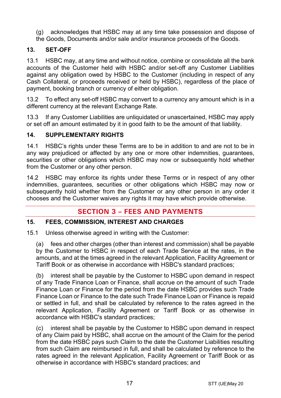- (g) acknowledges that HSBC may at any time take possession and dispose of
- the Goods, Documents and/or sale and/or insurance proceeds of the Goods.

# **13. SET-OFF**

13.1 HSBC may, at any time and without notice, combine or consolidate all the bank accounts of the Customer held with HSBC and/or set-off any Customer Liabilities against any obligation owed by HSBC to the Customer (including in respect of any Cash Collateral, or proceeds received or held by HSBC), regardless of the place of payment, booking branch or currency of either obligation.

13.2 To effect any set-off HSBC may convert to a currency any amount which is in a different currency at the relevant Exchange Rate.

13.3 If any Customer Liabilities are unliquidated or unascertained, HSBC may apply or set off an amount estimated by it in good faith to be the amount of that liability.

# **14. SUPPLEMENTARY RIGHTS**

14.1 HSBC's rights under these Terms are to be in addition to and are not to be in any way prejudiced or affected by any one or more other indemnities, guarantees, securities or other obligations which HSBC may now or subsequently hold whether from the Customer or any other person.

14.2 HSBC may enforce its rights under these Terms or in respect of any other indemnities, guarantees, securities or other obligations which HSBC may now or subsequently hold whether from the Customer or any other person in any order it chooses and the Customer waives any rights it may have which provide otherwise.

# **SECTION 3 – FEES AND PAYMENTS**

## <span id="page-16-0"></span>**15. FEES, COMMISSION, INTEREST AND CHARGES**

15.1 Unless otherwise agreed in writing with the Customer:

(a) fees and other charges (other than interest and commission) shall be payable by the Customer to HSBC in respect of each Trade Service at the rates, in the amounts, and at the times agreed in the relevant Application, Facility Agreement or Tariff Book or as otherwise in accordance with HSBC's standard practices;

(b) interest shall be payable by the Customer to HSBC upon demand in respect of any Trade Finance Loan or Finance, shall accrue on the amount of such Trade Finance Loan or Finance for the period from the date HSBC provides such Trade Finance Loan or Finance to the date such Trade Finance Loan or Finance is repaid or settled in full, and shall be calculated by reference to the rates agreed in the relevant Application, Facility Agreement or Tariff Book or as otherwise in accordance with HSBC's standard practices;

(c) interest shall be payable by the Customer to HSBC upon demand in respect of any Claim paid by HSBC, shall accrue on the amount of the Claim for the period from the date HSBC pays such Claim to the date the Customer Liabilities resulting from such Claim are reimbursed in full, and shall be calculated by reference to the rates agreed in the relevant Application, Facility Agreement or Tariff Book or as otherwise in accordance with HSBC's standard practices; and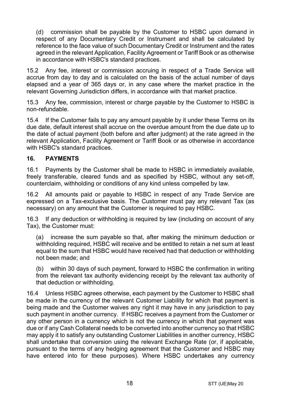(d) commission shall be payable by the Customer to HSBC upon demand in respect of any Documentary Credit or Instrument and shall be calculated by reference to the face value of such Documentary Credit or Instrument and the rates agreed in the relevant Application, Facility Agreement or Tariff Book or as otherwise in accordance with HSBC's standard practices.

15.2 Any fee, interest or commission accruing in respect of a Trade Service will accrue from day to day and is calculated on the basis of the actual number of days elapsed and a year of 365 days or, in any case where the market practice in the relevant Governing Jurisdiction differs, in accordance with that market practice.

15.3 Any fee, commission, interest or charge payable by the Customer to HSBC is non-refundable.

15.4 If the Customer fails to pay any amount payable by it under these Terms on its due date, default interest shall accrue on the overdue amount from the due date up to the date of actual payment (both before and after judgment) at the rate agreed in the relevant Application, Facility Agreement or Tariff Book or as otherwise in accordance with HSBC's standard practices.

## **16. PAYMENTS**

16.1 Payments by the Customer shall be made to HSBC in immediately available, freely transferable, cleared funds and as specified by HSBC, without any set-off, counterclaim, withholding or conditions of any kind unless compelled by law.

16.2 All amounts paid or payable to HSBC in respect of any Trade Service are expressed on a Tax-exclusive basis. The Customer must pay any relevant Tax (as necessary) on any amount that the Customer is required to pay HSBC.

16.3 If any deduction or withholding is required by law (including on account of any Tax), the Customer must:

(a) increase the sum payable so that, after making the minimum deduction or withholding required, HSBC will receive and be entitled to retain a net sum at least equal to the sum that HSBC would have received had that deduction or withholding not been made; and

(b) within 30 days of such payment, forward to HSBC the confirmation in writing from the relevant tax authority evidencing receipt by the relevant tax authority of that deduction or withholding.

16.4 Unless HSBC agrees otherwise, each payment by the Customer to HSBC shall be made in the currency of the relevant Customer Liability for which that payment is being made and the Customer waives any right it may have in any jurisdiction to pay such payment in another currency. If HSBC receives a payment from the Customer or any other person in a currency which is not the currency in which that payment was due or if any Cash Collateral needs to be converted into another currency so that HSBC may apply it to satisfy any outstanding Customer Liabilities in another currency, HSBC shall undertake that conversion using the relevant Exchange Rate (or, if applicable, pursuant to the terms of any hedging agreement that the Customer and HSBC may have entered into for these purposes). Where HSBC undertakes any currency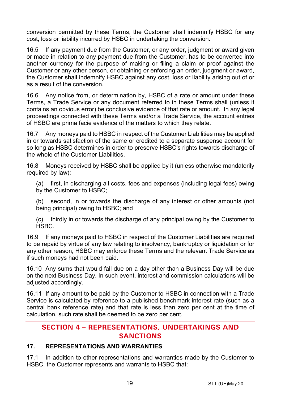conversion permitted by these Terms, the Customer shall indemnify HSBC for any cost, loss or liability incurred by HSBC in undertaking the conversion.

16.5 If any payment due from the Customer, or any order, judgment or award given or made in relation to any payment due from the Customer, has to be converted into another currency for the purpose of making or filing a claim or proof against the Customer or any other person, or obtaining or enforcing an order, judgment or award, the Customer shall indemnify HSBC against any cost, loss or liability arising out of or as a result of the conversion.

16.6 Any notice from, or determination by, HSBC of a rate or amount under these Terms, a Trade Service or any document referred to in these Terms shall (unless it contains an obvious error) be conclusive evidence of that rate or amount. In any legal proceedings connected with these Terms and/or a Trade Service, the account entries of HSBC are prima facie evidence of the matters to which they relate.

16.7 Any moneys paid to HSBC in respect of the Customer Liabilities may be applied in or towards satisfaction of the same or credited to a separate suspense account for so long as HSBC determines in order to preserve HSBC's rights towards discharge of the whole of the Customer Liabilities.

16.8 Moneys received by HSBC shall be applied by it (unless otherwise mandatorily required by law):

(a) first, in discharging all costs, fees and expenses (including legal fees) owing by the Customer to HSBC;

(b) second, in or towards the discharge of any interest or other amounts (not being principal) owing to HSBC; and

(c) thirdly in or towards the discharge of any principal owing by the Customer to HSBC.

16.9 If any moneys paid to HSBC in respect of the Customer Liabilities are required to be repaid by virtue of any law relating to insolvency, bankruptcy or liquidation or for any other reason, HSBC may enforce these Terms and the relevant Trade Service as if such moneys had not been paid.

16.10 Any sums that would fall due on a day other than a Business Day will be due on the next Business Day. In such event, interest and commission calculations will be adjusted accordingly.

16.11 If any amount to be paid by the Customer to HSBC in connection with a Trade Service is calculated by reference to a published benchmark interest rate (such as a central bank reference rate) and that rate is less than zero per cent at the time of calculation, such rate shall be deemed to be zero per cent.

# **SECTION 4 – REPRESENTATIONS, UNDERTAKINGS AND SANCTIONS**

## **17. REPRESENTATIONS AND WARRANTIES**

17.1 In addition to other representations and warranties made by the Customer to HSBC, the Customer represents and warrants to HSBC that: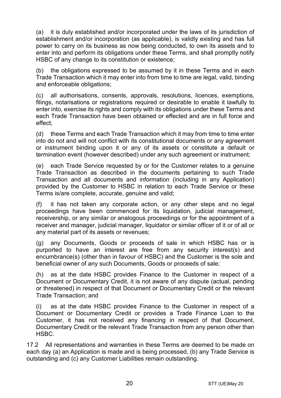(a) it is duly established and/or incorporated under the laws of its jurisdiction of establishment and/or incorporation (as applicable), is validly existing and has full power to carry on its business as now being conducted, to own its assets and to enter into and perform its obligations under these Terms, and shall promptly notify HSBC of any change to its constitution or existence;

(b) the obligations expressed to be assumed by it in these Terms and in each Trade Transaction which it may enter into from time to time are legal, valid, binding and enforceable obligations;

(c) all authorisations, consents, approvals, resolutions, licences, exemptions, filings, notarisations or registrations required or desirable to enable it lawfully to enter into, exercise its rights and comply with its obligations under these Terms and each Trade Transaction have been obtained or effected and are in full force and effect;

(d) these Terms and each Trade Transaction which it may from time to time enter into do not and will not conflict with its constitutional documents or any agreement or instrument binding upon it or any of its assets or constitute a default or termination event (however described) under any such agreement or instrument;

(e) each Trade Service requested by or for the Customer relates to a genuine Trade Transaction as described in the documents pertaining to such Trade Transaction and all documents and information (including in any Application) provided by the Customer to HSBC in relation to each Trade Service or these Terms is/are complete, accurate, genuine and valid;

(f) it has not taken any corporate action, or any other steps and no legal proceedings have been commenced for its liquidation, judicial management, receivership, or any similar or analogous proceedings or for the appointment of a receiver and manager, judicial manager, liquidator or similar officer of it or of all or any material part of its assets or revenues;

(g) any Documents, Goods or proceeds of sale in which HSBC has or is purported to have an interest are free from any security interest(s) and encumbrance(s) (other than in favour of HSBC) and the Customer is the sole and beneficial owner of any such Documents, Goods or proceeds of sale;

(h) as at the date HSBC provides Finance to the Customer in respect of a Document or Documentary Credit, it is not aware of any dispute (actual, pending or threatened) in respect of that Document or Documentary Credit or the relevant Trade Transaction; and

(i) as at the date HSBC provides Finance to the Customer in respect of a Document or Documentary Credit or provides a Trade Finance Loan to the Customer, it has not received any financing in respect of that Document, Documentary Credit or the relevant Trade Transaction from any person other than HSBC.

17.2 All representations and warranties in these Terms are deemed to be made on each day (a) an Application is made and is being processed, (b) any Trade Service is outstanding and (c) any Customer Liabilities remain outstanding.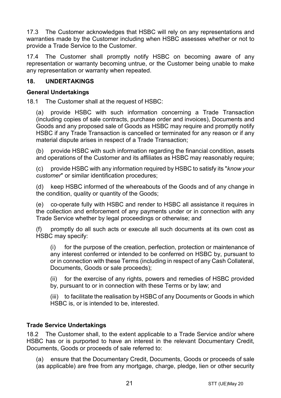17.3 The Customer acknowledges that HSBC will rely on any representations and warranties made by the Customer including when HSBC assesses whether or not to provide a Trade Service to the Customer.

17.4 The Customer shall promptly notify HSBC on becoming aware of any representation or warranty becoming untrue, or the Customer being unable to make any representation or warranty when repeated.

## **18. UNDERTAKINGS**

## **General Undertakings**

18.1 The Customer shall at the request of HSBC:

(a) provide HSBC with such information concerning a Trade Transaction (including copies of sale contracts, purchase order and invoices), Documents and Goods and any proposed sale of Goods as HSBC may require and promptly notify HSBC if any Trade Transaction is cancelled or terminated for any reason or if any material dispute arises in respect of a Trade Transaction;

(b) provide HSBC with such information regarding the financial condition, assets and operations of the Customer and its affiliates as HSBC may reasonably require;

(c) provide HSBC with any information required by HSBC to satisfy its "*know your customer*" or similar identification procedures;

(d) keep HSBC informed of the whereabouts of the Goods and of any change in the condition, quality or quantity of the Goods;

(e) co-operate fully with HSBC and render to HSBC all assistance it requires in the collection and enforcement of any payments under or in connection with any Trade Service whether by legal proceedings or otherwise; and

(f) promptly do all such acts or execute all such documents at its own cost as HSBC may specify:

(i) for the purpose of the creation, perfection, protection or maintenance of any interest conferred or intended to be conferred on HSBC by, pursuant to or in connection with these Terms (including in respect of any Cash Collateral, Documents, Goods or sale proceeds);

(ii) for the exercise of any rights, powers and remedies of HSBC provided by, pursuant to or in connection with these Terms or by law; and

(iii) to facilitate the realisation by HSBC of any Documents or Goods in which HSBC is, or is intended to be, interested.

## **Trade Service Undertakings**

18.2 The Customer shall, to the extent applicable to a Trade Service and/or where HSBC has or is purported to have an interest in the relevant Documentary Credit, Documents, Goods or proceeds of sale referred to:

(a) ensure that the Documentary Credit, Documents, Goods or proceeds of sale (as applicable) are free from any mortgage, charge, pledge, lien or other security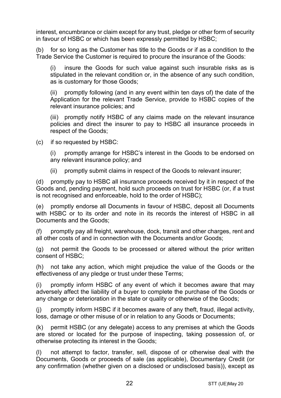interest, encumbrance or claim except for any trust, pledge or other form of security in favour of HSBC or which has been expressly permitted by HSBC;

(b) for so long as the Customer has title to the Goods or if as a condition to the Trade Service the Customer is required to procure the insurance of the Goods:

(i) insure the Goods for such value against such insurable risks as is stipulated in the relevant condition or, in the absence of any such condition, as is customary for those Goods;

(ii) promptly following (and in any event within ten days of) the date of the Application for the relevant Trade Service, provide to HSBC copies of the relevant insurance policies; and

(iii) promptly notify HSBC of any claims made on the relevant insurance policies and direct the insurer to pay to HSBC all insurance proceeds in respect of the Goods;

(c) if so requested by HSBC:

(i) promptly arrange for HSBC's interest in the Goods to be endorsed on any relevant insurance policy; and

(ii) promptly submit claims in respect of the Goods to relevant insurer;

(d) promptly pay to HSBC all insurance proceeds received by it in respect of the Goods and, pending payment, hold such proceeds on trust for HSBC (or, if a trust is not recognised and enforceable, hold to the order of HSBC);

(e) promptly endorse all Documents in favour of HSBC, deposit all Documents with HSBC or to its order and note in its records the interest of HSBC in all Documents and the Goods;

promptly pay all freight, warehouse, dock, transit and other charges, rent and all other costs of and in connection with the Documents and/or Goods;

(g) not permit the Goods to be processed or altered without the prior written consent of HSBC;

(h) not take any action, which might prejudice the value of the Goods or the effectiveness of any pledge or trust under these Terms;

(i) promptly inform HSBC of any event of which it becomes aware that may adversely affect the liability of a buyer to complete the purchase of the Goods or any change or deterioration in the state or quality or otherwise of the Goods;

(j) promptly inform HSBC if it becomes aware of any theft, fraud, illegal activity, loss, damage or other misuse of or in relation to any Goods or Documents;

(k) permit HSBC (or any delegate) access to any premises at which the Goods are stored or located for the purpose of inspecting, taking possession of, or otherwise protecting its interest in the Goods;

(l) not attempt to factor, transfer, sell, dispose of or otherwise deal with the Documents, Goods or proceeds of sale (as applicable), Documentary Credit (or any confirmation (whether given on a disclosed or undisclosed basis)), except as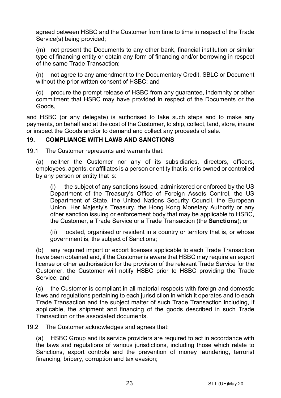agreed between HSBC and the Customer from time to time in respect of the Trade Service(s) being provided;

(m) not present the Documents to any other bank, financial institution or similar type of financing entity or obtain any form of financing and/or borrowing in respect of the same Trade Transaction;

(n) not agree to any amendment to the Documentary Credit, SBLC or Document without the prior written consent of HSBC; and

(o) procure the prompt release of HSBC from any guarantee, indemnity or other commitment that HSBC may have provided in respect of the Documents or the Goods,

and HSBC (or any delegate) is authorised to take such steps and to make any payments, on behalf and at the cost of the Customer, to ship, collect, land, store, insure or inspect the Goods and/or to demand and collect any proceeds of sale.

## <span id="page-22-0"></span>**19. COMPLIANCE WITH LAWS AND SANCTIONS**

19.1 The Customer represents and warrants that:

(a) neither the Customer nor any of its subsidiaries, directors, officers, employees, agents, or affiliates is a person or entity that is, or is owned or controlled by any person or entity that is:

(i) the subject of any sanctions issued, administered or enforced by the US Department of the Treasury's Office of Foreign Assets Control, the US Department of State, the United Nations Security Council, the European Union, Her Majesty's Treasury, the Hong Kong Monetary Authority or any other sanction issuing or enforcement body that may be applicable to HSBC, the Customer, a Trade Service or a Trade Transaction (the **Sanctions**); or

(ii) located, organised or resident in a country or territory that is, or whose government is, the subject of Sanctions;

(b) any required import or export licenses applicable to each Trade Transaction have been obtained and, if the Customer is aware that HSBC may require an export license or other authorisation for the provision of the relevant Trade Service for the Customer, the Customer will notify HSBC prior to HSBC providing the Trade Service; and

(c) the Customer is compliant in all material respects with foreign and domestic laws and regulations pertaining to each jurisdiction in which it operates and to each Trade Transaction and the subject matter of such Trade Transaction including, if applicable, the shipment and financing of the goods described in such Trade Transaction or the associated documents.

19.2 The Customer acknowledges and agrees that:

(a) HSBC Group and its service providers are required to act in accordance with the laws and regulations of various jurisdictions, including those which relate to Sanctions, export controls and the prevention of money laundering, terrorist financing, bribery, corruption and tax evasion;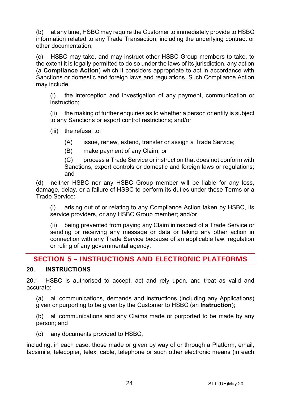(b) at any time, HSBC may require the Customer to immediately provide to HSBC information related to any Trade Transaction, including the underlying contract or other documentation;

(c) HSBC may take, and may instruct other HSBC Group members to take, to the extent it is legally permitted to do so under the laws of its jurisdiction, any action (a **Compliance Action**) which it considers appropriate to act in accordance with Sanctions or domestic and foreign laws and regulations. Such Compliance Action may include:

(i) the interception and investigation of any payment, communication or instruction;

(ii) the making of further enquiries as to whether a person or entity is subject to any Sanctions or export control restrictions; and/or

(iii) the refusal to:

- (A) issue, renew, extend, transfer or assign a Trade Service;
- (B) make payment of any Claim; or

(C) process a Trade Service or instruction that does not conform with Sanctions, export controls or domestic and foreign laws or regulations; and

(d) neither HSBC nor any HSBC Group member will be liable for any loss, damage, delay, or a failure of HSBC to perform its duties under these Terms or a Trade Service:

(i) arising out of or relating to any Compliance Action taken by HSBC, its service providers, or any HSBC Group member; and/or

(ii) being prevented from paying any Claim in respect of a Trade Service or sending or receiving any message or data or taking any other action in connection with any Trade Service because of an applicable law, regulation or ruling of any governmental agency.

# **SECTION 5 – INSTRUCTIONS AND ELECTRONIC PLATFORMS**

# <span id="page-23-0"></span>**20. INSTRUCTIONS**

20.1 HSBC is authorised to accept, act and rely upon, and treat as valid and accurate:

(a) all communications, demands and instructions (including any Applications) given or purporting to be given by the Customer to HSBC (an **Instruction**);

(b) all communications and any Claims made or purported to be made by any person; and

(c) any documents provided to HSBC,

including, in each case, those made or given by way of or through a Platform, email, facsimile, telecopier, telex, cable, telephone or such other electronic means (in each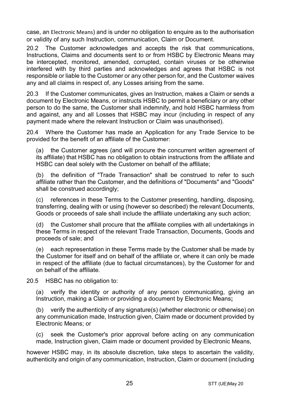case, an Electronic Means) and is under no obligation to enquire as to the authorisation or validity of any such Instruction, communication, Claim or Document.

20.2 The Customer acknowledges and accepts the risk that communications, Instructions, Claims and documents sent to or from HSBC by Electronic Means may be intercepted, monitored, amended, corrupted, contain viruses or be otherwise interfered with by third parties and acknowledges and agrees that HSBC is not responsible or liable to the Customer or any other person for, and the Customer waives any and all claims in respect of, any Losses arising from the same.

20.3 If the Customer communicates, gives an Instruction, makes a Claim or sends a document by Electronic Means, or instructs HSBC to permit a beneficiary or any other person to do the same, the Customer shall indemnify, and hold HSBC harmless from and against, any and all Losses that HSBC may incur (including in respect of any payment made where the relevant Instruction or Claim was unauthorised).

20.4 Where the Customer has made an Application for any Trade Service to be provided for the benefit of an affiliate of the Customer:

(a) the Customer agrees (and will procure the concurrent written agreement of its affiliate) that HSBC has no obligation to obtain instructions from the affiliate and HSBC can deal solely with the Customer on behalf of the affiliate;

(b) the definition of "Trade Transaction" shall be construed to refer to such affiliate rather than the Customer, and the definitions of "Documents" and "Goods" shall be construed accordingly;

(c) references in these Terms to the Customer presenting, handling, disposing, transferring, dealing with or using (however so described) the relevant Documents, Goods or proceeds of sale shall include the affiliate undertaking any such action;

(d) the Customer shall procure that the affiliate complies with all undertakings in these Terms in respect of the relevant Trade Transaction, Documents, Goods and proceeds of sale; and

(e) each representation in these Terms made by the Customer shall be made by the Customer for itself and on behalf of the affiliate or, where it can only be made in respect of the affiliate (due to factual circumstances), by the Customer for and on behalf of the affiliate.

20.5 HSBC has no obligation to:

(a) verify the identity or authority of any person communicating, giving an Instruction, making a Claim or providing a document by Electronic Means**;**

(b) verify the authenticity of any signature(s) (whether electronic or otherwise) on any communication made, Instruction given, Claim made or document provided by Electronic Means; or

(c) seek the Customer's prior approval before acting on any communication made, Instruction given, Claim made or document provided by Electronic Means,

however HSBC may, in its absolute discretion, take steps to ascertain the validity, authenticity and origin of any communication, Instruction, Claim or document (including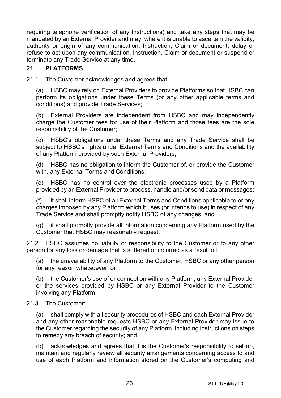requiring telephone verification of any Instructions) and take any steps that may be mandated by an External Provider and may, where it is unable to ascertain the validity, authority or origin of any communication, Instruction, Claim or document, delay or refuse to act upon any communication, Instruction, Claim or document or suspend or terminate any Trade Service at any time.

## **21. PLATFORMS**

21.1 The Customer acknowledges and agrees that:

(a) HSBC may rely on External Providers to provide Platforms so that HSBC can perform its obligations under these Terms (or any other applicable terms and conditions) and provide Trade Services;

(b) External Providers are independent from HSBC and may independently charge the Customer fees for use of their Platform and those fees are the sole responsibility of the Customer;

(c) HSBC's obligations under these Terms and any Trade Service shall be subject to HSBC's rights under External Terms and Conditions and the availability of any Platform provided by such External Providers;

(d) HSBC has no obligation to inform the Customer of, or provide the Customer with, any External Terms and Conditions;

(e) HSBC has no control over the electronic processes used by a Platform provided by an External Provider to process, handle and/or send data or messages;

(f) it shall inform HSBC of all External Terms and Conditions applicable to or any charges imposed by any Platform which it uses (or intends to use) in respect of any Trade Service and shall promptly notify HSBC of any changes; and

(g) it shall promptly provide all information concerning any Platform used by the Customer that HSBC may reasonably request.

21.2 HSBC assumes no liability or responsibility to the Customer or to any other person for any loss or damage that is suffered or incurred as a result of:

(a) the unavailability of any Platform to the Customer, HSBC or any other person for any reason whatsoever; or

(b) the Customer's use of or connection with any Platform, any External Provider or the services provided by HSBC or any External Provider to the Customer involving any Platform.

#### 21.3 The Customer:

(a) shall comply with all security procedures of HSBC and each External Provider and any other reasonable requests HSBC or any External Provider may issue to the Customer regarding the security of any Platform, including instructions on steps to remedy any breach of security; and

(b) acknowledges and agrees that it is the Customer's responsibility to set up, maintain and regularly review all security arrangements concerning access to and use of each Platform and information stored on the Customer's computing and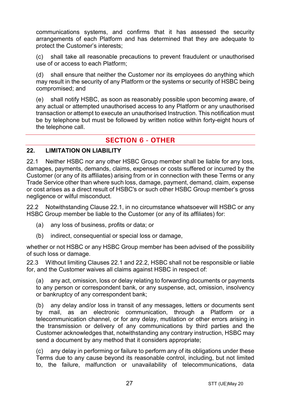communications systems, and confirms that it has assessed the security arrangements of each Platform and has determined that they are adequate to protect the Customer's interests;

(c) shall take all reasonable precautions to prevent fraudulent or unauthorised use of or access to each Platform;

(d) shall ensure that neither the Customer nor its employees do anything which may result in the security of any Platform or the systems or security of HSBC being compromised; and

(e) shall notify HSBC, as soon as reasonably possible upon becoming aware, of any actual or attempted unauthorised access to any Platform or any unauthorised transaction or attempt to execute an unauthorised Instruction. This notification must be by telephone but must be followed by written notice within forty-eight hours of the telephone call.

# **SECTION 6 - OTHER**

## **22. LIMITATION ON LIABILITY**

<span id="page-26-0"></span>22.1 Neither HSBC nor any other HSBC Group member shall be liable for any loss, damages, payments, demands, claims, expenses or costs suffered or incurred by the Customer (or any of its affiliates) arising from or in connection with these Terms or any Trade Service other than where such loss, damage, payment, demand, claim, expense or cost arises as a direct result of HSBC's or such other HSBC Group member's gross negligence or wilful misconduct.

<span id="page-26-1"></span>22.2 Notwithstanding Clause [22.1,](#page-26-0) in no circumstance whatsoever will HSBC or any HSBC Group member be liable to the Customer (or any of its affiliates) for:

- (a) any loss of business, profits or data; or
- (b) indirect, consequential or special loss or damage,

whether or not HSBC or any HSBC Group member has been advised of the possibility of such loss or damage.

22.3 Without limiting Clauses [22.1](#page-26-0) and [22.2,](#page-26-1) HSBC shall not be responsible or liable for, and the Customer waives all claims against HSBC in respect of:

(a) any act, omission, loss or delay relating to forwarding documents or payments to any person or correspondent bank, or any suspense, act, omission, insolvency or bankruptcy of any correspondent bank;

(b) any delay and/or loss in transit of any messages, letters or documents sent by mail, as an electronic communication, through a Platform or a telecommunication channel, or for any delay, mutilation or other errors arising in the transmission or delivery of any communications by third parties and the Customer acknowledges that, notwithstanding any contrary instruction, HSBC may send a document by any method that it considers appropriate;

(c) any delay in performing or failure to perform any of its obligations under these Terms due to any cause beyond its reasonable control, including, but not limited to, the failure, malfunction or unavailability of telecommunications, data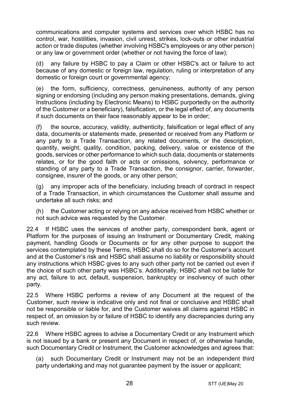communications and computer systems and services over which HSBC has no control, war, hostilities, invasion, civil unrest, strikes, lock-outs or other industrial action or trade disputes (whether involving HSBC's employees or any other person) or any law or government order (whether or not having the force of law);

(d) any failure by HSBC to pay a Claim or other HSBC's act or failure to act because of any domestic or foreign law, regulation, ruling or interpretation of any domestic or foreign court or governmental agency;

(e) the form, sufficiency, correctness, genuineness, authority of any person signing or endorsing (including any person making presentations, demands, giving Instructions (including by Electronic Means) to HSBC purportedly on the authority of the Customer or a beneficiary), falsification, or the legal effect of, any documents if such documents on their face reasonably appear to be in order;

(f) the source, accuracy, validity, authenticity, falsification or legal effect of any data, documents or statements made, presented or received from any Platform or any party to a Trade Transaction, any related documents, or the description, quantity, weight, quality, condition, packing, delivery, value or existence of the goods, services or other performance to which such data, documents or statements relates, or for the good faith or acts or omissions, solvency, performance or standing of any party to a Trade Transaction, the consignor, carrier, forwarder, consignee, insurer of the goods, or any other person;

(g) any improper acts of the beneficiary, including breach of contract in respect of a Trade Transaction, in which circumstances the Customer shall assume and undertake all such risks; and

(h) the Customer acting or relying on any advice received from HSBC whether or not such advice was requested by the Customer.

22.4 If HSBC uses the services of another party, correspondent bank, agent or Platform for the purposes of issuing an Instrument or Documentary Credit, making payment, handling Goods or Documents or for any other purpose to support the services contemplated by these Terms, HSBC shall do so for the Customer's account and at the Customer's risk and HSBC shall assume no liability or responsibility should any instructions which HSBC gives to any such other party not be carried out even if the choice of such other party was HSBC's. Additionally, HSBC shall not be liable for any act, failure to act, default, suspension, bankruptcy or insolvency of such other party.

22.5 Where HSBC performs a review of any Document at the request of the Customer, such review is indicative only and not final or conclusive and HSBC shall not be responsible or liable for, and the Customer waives all claims against HSBC in respect of, an omission by or failure of HSBC to identify any discrepancies during any such review.

22.6 Where HSBC agrees to advise a Documentary Credit or any Instrument which is not issued by a bank or present any Document in respect of, or otherwise handle, such Documentary Credit or Instrument, the Customer acknowledges and agrees that:

(a) such Documentary Credit or Instrument may not be an independent third party undertaking and may not guarantee payment by the issuer or applicant;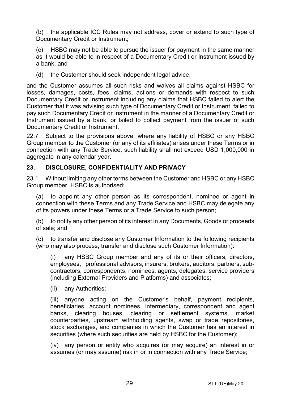(b) the applicable ICC Rules may not address, cover or extend to such type of Documentary Credit or Instrument:

HSBC may not be able to pursue the issuer for payment in the same manner as it would be able to in respect of a Documentary Credit or Instrument issued by a bank; and

(d) the Customer should seek independent legal advice,

and the Customer assumes all such risks and waives all claims against HSBC for losses, damages, costs, fees, claims, actions or demands with respect to such Documentary Credit or Instrument including any claims that HSBC failed to alert the Customer that it was advising such type of Documentary Credit or Instrument, failed to pay such Documentary Credit or Instrument in the manner of a Documentary Credit or Instrument issued by a bank, or failed to collect payment from the issuer of such Documentary Credit or Instrument.

22.7 Subject to the provisions above, where any liability of HSBC or any HSBC Group member to the Customer (or any of its affiliates) arises under these Terms or in connection with any Trade Service, such liability shall not exceed USD 1,000,000 in aggregate in any calendar year.

## <span id="page-28-1"></span>**23. DISCLOSURE, CONFIDENTIALITY AND PRIVACY**

23.1 Without limiting any other terms between the Customer and HSBC or any HSBC Group member, HSBC is authorised:

<span id="page-28-0"></span>(a) to appoint any other person as its correspondent, nominee or agent in connection with these Terms and any Trade Service and HSBC may delegate any of its powers under these Terms or a Trade Service to such person;

(b) to notify any other person of its interest in any Documents, Goods or proceeds of sale; and

(c) to transfer and disclose any Customer Information to the following recipients (who may also process, transfer and disclose such Customer Information):

(i) any HSBC Group member and any of its or their officers, directors, employees, professional advisors, insurers, brokers, auditors, partners, subcontractors, correspondents, nominees, agents, delegates, service providers (including External Providers and Platforms) and associates;

(ii) any Authorities;

(iii) anyone acting on the Customer's behalf, payment recipients, beneficiaries, account nominees, intermediary, correspondent and agent banks, clearing houses, clearing or settlement systems, market counterparties, upstream withholding agents, swap or trade repositories, stock exchanges, and companies in which the Customer has an interest in securities (where such securities are held by HSBC for the Customer);

(iv) any person or entity who acquires (or may acquire) an interest in or assumes (or may assume) risk in or in connection with any Trade Service;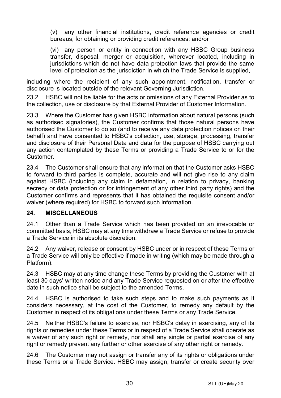(v) any other financial institutions, credit reference agencies or credit bureaus, for obtaining or providing credit references; and/or

(vi) any person or entity in connection with any HSBC Group business transfer, disposal, merger or acquisition, wherever located, including in jurisdictions which do not have data protection laws that provide the same level of protection as the jurisdiction in which the Trade Service is supplied,

including where the recipient of any such appointment, notification, transfer or disclosure is located outside of the relevant Governing Jurisdiction.

23.2 HSBC will not be liable for the acts or omissions of any External Provider as to the collection, use or disclosure by that External Provider of Customer Information.

23.3 Where the Customer has given HSBC information about natural persons (such as authorised signatories), the Customer confirms that those natural persons have authorised the Customer to do so (and to receive any data protection notices on their behalf) and have consented to HSBC's collection, use, storage, processing, transfer and disclosure of their Personal Data and data for the purpose of HSBC carrying out any action contemplated by these Terms or providing a Trade Service to or for the Customer.

23.4 The Customer shall ensure that any information that the Customer asks HSBC to forward to third parties is complete, accurate and will not give rise to any claim against HSBC (including any claim in defamation, in relation to privacy, banking secrecy or data protection or for infringement of any other third party rights) and the Customer confirms and represents that it has obtained the requisite consent and/or waiver (where required) for HSBC to forward such information.

## **24. MISCELLANEOUS**

24.1 Other than a Trade Service which has been provided on an irrevocable or committed basis, HSBC may at any time withdraw a Trade Service or refuse to provide a Trade Service in its absolute discretion.

24.2 Any waiver, release or consent by HSBC under or in respect of these Terms or a Trade Service will only be effective if made in writing (which may be made through a Platform).

24.3 HSBC may at any time change these Terms by providing the Customer with at least 30 days' written notice and any Trade Service requested on or after the effective date in such notice shall be subject to the amended Terms.

24.4 HSBC is authorised to take such steps and to make such payments as it considers necessary, at the cost of the Customer, to remedy any default by the Customer in respect of its obligations under these Terms or any Trade Service.

24.5 Neither HSBC's failure to exercise, nor HSBC's delay in exercising, any of its rights or remedies under these Terms or in respect of a Trade Service shall operate as a waiver of any such right or remedy, nor shall any single or partial exercise of any right or remedy prevent any further or other exercise of any other right or remedy.

24.6 The Customer may not assign or transfer any of its rights or obligations under these Terms or a Trade Service. HSBC may assign, transfer or create security over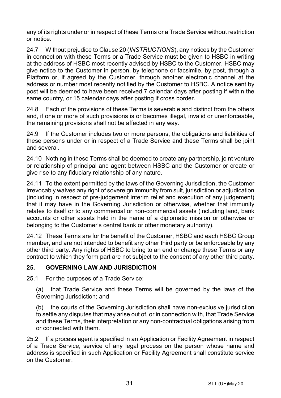any of its rights under or in respect of these Terms or a Trade Service without restriction or notice.

24.7 Without prejudice to Claus[e 20](#page-23-0) (*[INSTRUCTIONS](#page-23-0)*), any notices by the Customer in connection with these Terms or a Trade Service must be given to HSBC in writing at the address of HSBC most recently advised by HSBC to the Customer. HSBC may give notice to the Customer in person, by telephone or facsimile, by post, through a Platform or, if agreed by the Customer, through another electronic channel at the address or number most recently notified by the Customer to HSBC. A notice sent by post will be deemed to have been received 7 calendar days after posting if within the same country, or 15 calendar days after posting if cross border.

24.8 Each of the provisions of these Terms is severable and distinct from the others and, if one or more of such provisions is or becomes illegal, invalid or unenforceable, the remaining provisions shall not be affected in any way.

24.9 If the Customer includes two or more persons, the obligations and liabilities of these persons under or in respect of a Trade Service and these Terms shall be joint and several.

24.10 Nothing in these Terms shall be deemed to create any partnership, joint venture or relationship of principal and agent between HSBC and the Customer or create or give rise to any fiduciary relationship of any nature.

24.11 To the extent permitted by the laws of the Governing Jurisdiction, the Customer irrevocably waives any right of sovereign immunity from suit, jurisdiction or adjudication (including in respect of pre-judgement interim relief and execution of any judgement) that it may have in the Governing Jurisdiction or otherwise, whether that immunity relates to itself or to any commercial or non-commercial assets (including land, bank accounts or other assets held in the name of a diplomatic mission or otherwise or belonging to the Customer's central bank or other monetary authority).

24.12 These Terms are for the benefit of the Customer, HSBC and each HSBC Group member, and are not intended to benefit any other third party or be enforceable by any other third party. Any rights of HSBC to bring to an end or change these Terms or any contract to which they form part are not subject to the consent of any other third party.

# **25. GOVERNING LAW AND JURISDICTION**

25.1 For the purposes of a Trade Service:

(a) that Trade Service and these Terms will be governed by the laws of the Governing Jurisdiction; and

(b) the courts of the Governing Jurisdiction shall have non-exclusive jurisdiction to settle any disputes that may arise out of, or in connection with, that Trade Service and these Terms, their interpretation or any non-contractual obligations arising from or connected with them.

25.2 If a process agent is specified in an Application or Facility Agreement in respect of a Trade Service, service of any legal process on the person whose name and address is specified in such Application or Facility Agreement shall constitute service on the Customer.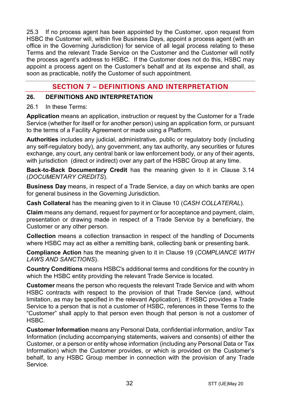25.3 If no process agent has been appointed by the Customer, upon request from HSBC the Customer will, within five Business Days, appoint a process agent (with an office in the Governing Jurisdiction) for service of all legal process relating to these Terms and the relevant Trade Service on the Customer and the Customer will notify the process agent's address to HSBC. If the Customer does not do this, HSBC may appoint a process agent on the Customer's behalf and at its expense and shall, as soon as practicable, notify the Customer of such appointment.

# **SECTION 7 – DEFINITIONS AND INTERPRETATION**

## **26. DEFINITIONS AND INTERPRETATION**

#### 26.1 In these Terms:

**Application** means an application, instruction or request by the Customer for a Trade Service (whether for itself or for another person) using an application form, or pursuant to the terms of a Facility Agreement or made using a Platform.

**Authorities** includes any judicial, administrative, public or regulatory body (including any self-regulatory body), any government, any tax authority, any securities or futures exchange, any court, any central bank or law enforcement body, or any of their agents, with jurisdiction (direct or indirect) over any part of the HSBC Group at any time.

**Back-to-Back Documentary Credit** has the meaning given to it in Clause [3.14](#page-5-0) (*[DOCUMENTARY CREDITS](#page-3-0)*).

**Business Day** means, in respect of a Trade Service, a day on which banks are open for general business in the Governing Jurisdiction.

**Cash Collateral** has the meaning given to it in Clause [10](#page-13-2) (*[CASH COLLATERAL](#page-13-2)*).

**Claim** means any demand, request for payment or for acceptance and payment, claim, presentation or drawing made in respect of a Trade Service by a beneficiary, the Customer or any other person.

**Collection** means a collection transaction in respect of the handling of Documents where HSBC may act as either a remitting bank, collecting bank or presenting bank.

**Compliance Action** has the meaning given to it in Clause [19](#page-22-0) (*[COMPLIANCE WITH](#page-22-0)  [LAWS AND SANCTIONS](#page-22-0)*).

**Country Conditions** means HSBC's additional terms and conditions for the country in which the HSBC entity providing the relevant Trade Service is located.

**Customer** means the person who requests the relevant Trade Service and with whom HSBC contracts with respect to the provision of that Trade Service (and, without limitation, as may be specified in the relevant Application). If HSBC provides a Trade Service to a person that is not a customer of HSBC, references in these Terms to the "Customer" shall apply to that person even though that person is not a customer of HSBC.

**Customer Information** means any Personal Data, confidential information, and/or Tax Information (including accompanying statements, waivers and consents) of either the Customer, or a person or entity whose information (including any Personal Data or Tax Information) which the Customer provides, or which is provided on the Customer's behalf, to any HSBC Group member in connection with the provision of any Trade Service.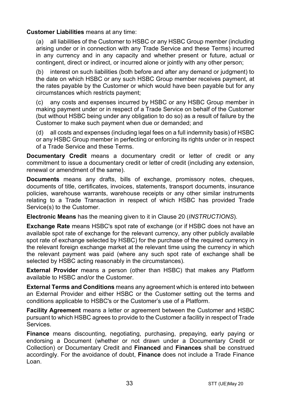## **Customer Liabilities** means at any time:

(a) all liabilities of the Customer to HSBC or any HSBC Group member (including arising under or in connection with any Trade Service and these Terms) incurred in any currency and in any capacity and whether present or future, actual or contingent, direct or indirect, or incurred alone or jointly with any other person;

(b) interest on such liabilities (both before and after any demand or judgment) to the date on which HSBC or any such HSBC Group member receives payment, at the rates payable by the Customer or which would have been payable but for any circumstances which restricts payment;

(c) any costs and expenses incurred by HSBC or any HSBC Group member in making payment under or in respect of a Trade Service on behalf of the Customer (but without HSBC being under any obligation to do so) as a result of failure by the Customer to make such payment when due or demanded; and

(d) all costs and expenses (including legal fees on a full indemnity basis) of HSBC or any HSBC Group member in perfecting or enforcing its rights under or in respect of a Trade Service and these Terms.

**Documentary Credit** means a documentary credit or letter of credit or any commitment to issue a documentary credit or letter of credit (including any extension, renewal or amendment of the same).

**Documents** means any drafts, bills of exchange, promissory notes, cheques, documents of title, certificates, invoices, statements, transport documents, insurance policies, warehouse warrants, warehouse receipts or any other similar instruments relating to a Trade Transaction in respect of which HSBC has provided Trade Service(s) to the Customer.

**Electronic Means** has the meaning given to it in Clause [20](#page-23-0) (*[INSTRUCTIONS](#page-23-0)*).

**Exchange Rate** means HSBC's spot rate of exchange (or if HSBC does not have an available spot rate of exchange for the relevant currency, any other publicly available spot rate of exchange selected by HSBC) for the purchase of the required currency in the relevant foreign exchange market at the relevant time using the currency in which the relevant payment was paid (where any such spot rate of exchange shall be selected by HSBC acting reasonably in the circumstances).

**External Provider** means a person (other than HSBC) that makes any Platform available to HSBC and/or the Customer.

**External Terms and Conditions** means any agreement which is entered into between an External Provider and either HSBC or the Customer setting out the terms and conditions applicable to HSBC's or the Customer's use of a Platform.

**Facility Agreement** means a letter or agreement between the Customer and HSBC pursuant to which HSBC agrees to provide to the Customer a facility in respect of Trade Services.

**Finance** means discounting, negotiating, purchasing, prepaying, early paying or endorsing a Document (whether or not drawn under a Documentary Credit or Collection) or Documentary Credit and **Financed** and **Finances** shall be construed accordingly. For the avoidance of doubt, **Finance** does not include a Trade Finance Loan.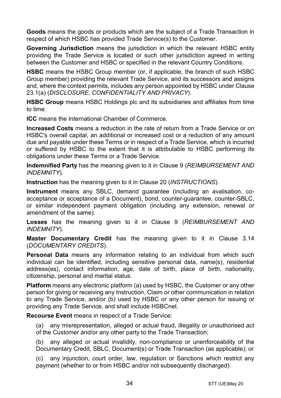**Goods** means the goods or products which are the subject of a Trade Transaction in respect of which HSBC has provided Trade Service(s) to the Customer.

**Governing Jurisdiction** means the jurisdiction in which the relevant HSBC entity providing the Trade Service is located or such other jurisdiction agreed in writing between the Customer and HSBC or specified in the relevant Country Conditions.

**HSBC** means the HSBC Group member (or, if applicable, the branch of such HSBC Group member) providing the relevant Trade Service, and its successors and assigns and, where the context permits, includes any person appointed by HSBC under Clause [23.1\(a\)](#page-28-0) (*[DISCLOSURE, CONFIDENTIALITY AND PRIVACY](#page-28-1)*).

**HSBC Group** means HSBC Holdings plc and its subsidiaries and affiliates from time to time.

**ICC** means the International Chamber of Commerce.

**Increased Costs** means a reduction in the rate of return from a Trade Service or on HSBC's overall capital, an additional or increased cost or a reduction of any amount due and payable under these Terms or in respect of a Trade Service, which is incurred or suffered by HSBC to the extent that it is attributable to HSBC performing its obligations under these Terms or a Trade Service.

**Indemnified Party** has the meaning given to it in Claus[e 9](#page-13-0) (*[REIMBURSEMENT AND](#page-13-0)  [INDEMNITY](#page-13-0)*).

**Instruction** has the meaning given to it in Clause [20](#page-23-0) (*[INSTRUCTIONS](#page-23-0)*).

**Instrument** means any SBLC, demand guarantee (including an avalisation, coacceptance or acceptance of a Document), bond, counter-guarantee, counter-SBLC, or similar independent payment obligation (including any extension, renewal or amendment of the same).

**Losses** has the meaning given to it in Clause [9](#page-13-0) (*[REIMBURSEMENT AND](#page-13-0)  [INDEMNITY](#page-13-0)*).

**Master Documentary Credit** has the meaning given to it in Clause [3.14](#page-5-0) (*[DOCUMENTARY CREDITS](#page-3-0)*).

**Personal Data** means any information relating to an individual from which such individual can be identified, including sensitive personal data, name(s), residential address(es), contact information, age, date of birth, place of birth, nationality, citizenship, personal and marital status.

**Platform** means any electronic platform (a) used by HSBC, the Customer or any other person for giving or receiving any Instruction, Claim or other communication in relation to any Trade Service, and/or (b) used by HSBC or any other person for issuing or providing any Trade Service, and shall include HSBCnet.

**Recourse Event** means in respect of a Trade Service:

(a) any misrepresentation, alleged or actual fraud, illegality or unauthorised act of the Customer and/or any other party to the Trade Transaction;

(b) any alleged or actual invalidity, non-compliance or unenforceability of the Documentary Credit, SBLC, Document(s) or Trade Transaction (as applicable); or

(c) any injunction, court order, law, regulation or Sanctions which restrict any payment (whether to or from HSBC and/or not subsequently discharged).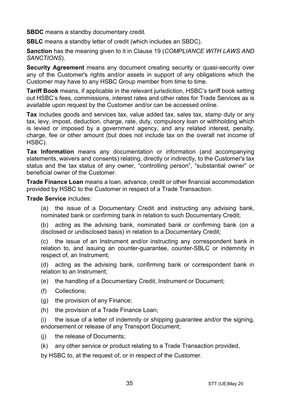**SBDC** means a standby documentary credit.

**SBLC** means a standby letter of credit (which includes an SBDC).

**Sanction** has the meaning given to it in Clause [19](#page-22-0) (*[COMPLIANCE WITH LAWS AND](#page-22-0)  [SANCTIONS](#page-22-0)*).

**Security Agreement** means any document creating security or quasi-security over any of the Customer's rights and/or assets in support of any obligations which the Customer may have to any HSBC Group member from time to time.

**Tariff Book** means, if applicable in the relevant jurisdiction, HSBC's tariff book setting out HSBC's fees, commissions, interest rates and other rates for Trade Services as is available upon request by the Customer and/or can be accessed online.

**Tax** includes goods and services tax, value added tax, sales tax, stamp duty or any tax, levy, impost, deduction, charge, rate, duty, compulsory loan or withholding which is levied or imposed by a government agency, and any related interest, penalty, charge, fee or other amount (but does not include tax on the overall net income of HSBC).

**Tax Information** means any documentation or information (and accompanying statements, waivers and consents) relating, directly or indirectly, to the Customer's tax status and the tax status of any owner, "controlling person", "substantial owner" or beneficial owner of the Customer.

**Trade Finance Loan** means a loan, advance, credit or other financial accommodation provided by HSBC to the Customer in respect of a Trade Transaction.

**Trade Service** includes:

(a) the issue of a Documentary Credit and instructing any advising bank, nominated bank or confirming bank in relation to such Documentary Credit;

(b) acting as the advising bank, nominated bank or confirming bank (on a disclosed or undisclosed basis) in relation to a Documentary Credit;

(c) the issue of an Instrument and/or instructing any correspondent bank in relation to, and issuing an counter-guarantee, counter-SBLC or indemnity in respect of, an Instrument;

(d) acting as the advising bank, confirming bank or correspondent bank in relation to an Instrument;

(e) the handling of a Documentary Credit, Instrument or Document;

- (f) Collections;
- (g) the provision of any Finance;
- (h) the provision of a Trade Finance Loan;

(i) the issue of a letter of indemnity or shipping guarantee and/or the signing, endorsement or release of any Transport Document;

- (i) the release of Documents:
- (k) any other service or product relating to a Trade Transaction provided,

by HSBC to, at the request of, or in respect of the Customer.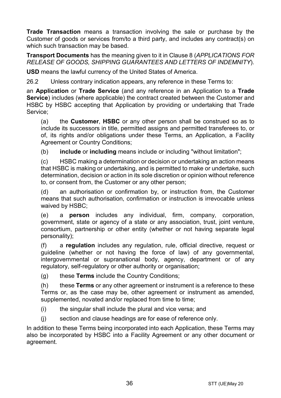**Trade Transaction** means a transaction involving the sale or purchase by the Customer of goods or services from/to a third party, and includes any contract(s) on which such transaction may be based.

**Transport Documents** has the meaning given to it in Clause [8](#page-12-0) (*[APPLICATIONS FOR](#page-12-0)  [RELEASE OF GOODS, SHIPPING GUARANTEES AND](#page-12-0) LETTERS OF INDEMNITY*).

**USD** means the lawful currency of the United States of America.

26.2 Unless contrary indication appears, any reference in these Terms to:

an **Application** or **Trade Service** (and any reference in an Application to a **Trade Service**) includes (where applicable) the contract created between the Customer and HSBC by HSBC accepting that Application by providing or undertaking that Trade Service;

(a) the **Customer**, **HSBC** or any other person shall be construed so as to include its successors in title, permitted assigns and permitted transferees to, or of, its rights and/or obligations under these Terms, an Application, a Facility Agreement or Country Conditions;

(b) **include** or **including** means include or including "without limitation";

(c) HSBC making a determination or decision or undertaking an action means that HSBC is making or undertaking, and is permitted to make or undertake, such determination, decision or action in its sole discretion or opinion without reference to, or consent from, the Customer or any other person;

(d) an authorisation or confirmation by, or instruction from, the Customer means that such authorisation, confirmation or instruction is irrevocable unless waived by HSBC;

(e) a **person** includes any individual, firm, company, corporation, government, state or agency of a state or any association, trust, joint venture, consortium, partnership or other entity (whether or not having separate legal personality);

(f) a **regulation** includes any regulation, rule, official directive, request or guideline (whether or not having the force of law) of any governmental, intergovernmental or supranational body, agency, department or of any regulatory, self-regulatory or other authority or organisation;

(g) these **Terms** include the Country Conditions;

(h) these **Terms** or any other agreement or instrument is a reference to these Terms or, as the case may be, other agreement or instrument as amended, supplemented, novated and/or replaced from time to time;

- (i) the singular shall include the plural and vice versa; and
- (j) section and clause headings are for ease of reference only.

In addition to these Terms being incorporated into each Application, these Terms may also be incorporated by HSBC into a Facility Agreement or any other document or agreement.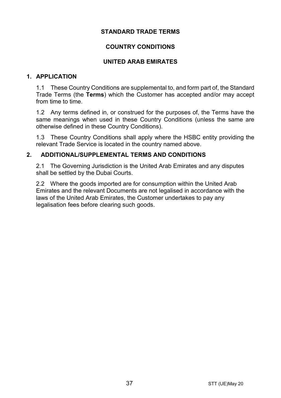#### **STANDARD TRADE TERMS**

## **COUNTRY CONDITIONS**

#### **UNITED ARAB EMIRATES**

## **1. APPLICATION**

1.1 These Country Conditions are supplemental to, and form part of, the Standard Trade Terms (the **Terms**) which the Customer has accepted and/or may accept from time to time.

1.2 Any terms defined in, or construed for the purposes of, the Terms have the same meanings when used in these Country Conditions (unless the same are otherwise defined in these Country Conditions).

1.3 These Country Conditions shall apply where the HSBC entity providing the relevant Trade Service is located in the country named above.

## **2. ADDITIONAL/SUPPLEMENTAL TERMS AND CONDITIONS**

2.1 The Governing Jurisdiction is the United Arab Emirates and any disputes shall be settled by the Dubai Courts.

2.2 Where the goods imported are for consumption within the United Arab Emirates and the relevant Documents are not legalised in accordance with the laws of the United Arab Emirates, the Customer undertakes to pay any legalisation fees before clearing such goods.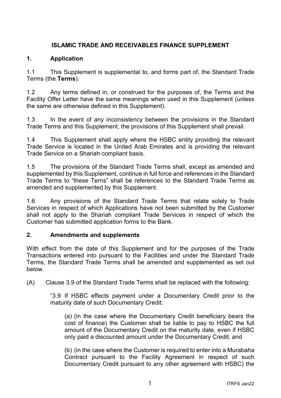# **ISLAMIC TRADE AND RECEIVABLES FINANCE SUPPLEMENT**

## **1. Application**

1.1 This Supplement is supplemental to, and forms part of, the Standard Trade Terms (the **Terms**).

1.2 Any terms defined in, or construed for the purposes of, the Terms and the Facility Offer Letter have the same meanings when used in this Supplement (unless the same are otherwise defined in this Supplement).

1.3 In the event of any inconsistency between the provisions in the Standard Trade Terms and this Supplement, the provisions of this Supplement shall prevail.

1.4 This Supplement shall apply where the HSBC entity providing the relevant Trade Service is located in the United Arab Emirates and is providing the relevant Trade Service on a Shariah compliant basis.

1.5 The provisions of the Standard Trade Terms shall, except as amended and supplemented by this Supplement, continue in full force and references in the Standard Trade Terms to "these Terns" shall be references to the Standard Trade Terms as amended and supplemented by this Supplement.

1.6 Any provisions of the Standard Trade Terms that relate solely to Trade Services in respect of which Applications have not been submitted by the Customer shall not apply to the Shariah compliant Trade Services in respect of which the Customer has submitted application forms to the Bank.

## **2. Amendments and supplements**

With effect from the date of this Supplement and for the purposes of the Trade Transactions entered into pursuant to the Facilities and under the Standard Trade Terms, the Standard Trade Terms shall be amended and supplemented as set out below.

(A) Clause 3.9 of the Standard Trade Terms shall be replaced with the following:

"3.9 If HSBC effects payment under a Documentary Credit prior to the maturity date of such Documentary Credit:

(a) (in the case where the Documentary Credit beneficiary bears the cost of finance) the Customer shall be liable to pay to HSBC the full amount of the Documentary Credit on the maturity date, even if HSBC only paid a discounted amount under the Documentary Credit; and

(b) (in the case where the Customer is required to enter into a Murabaha Contract pursuant to the Facility Agreement in respect of such Documentary Credit pursuant to any other agreement with HSBC) the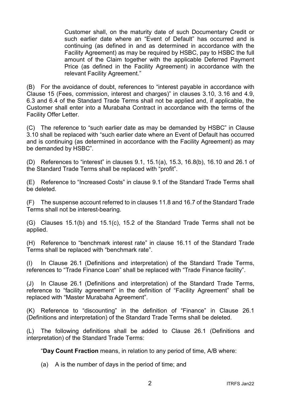Customer shall, on the maturity date of such Documentary Credit or such earlier date where an "Event of Default" has occurred and is continuing (as defined in and as determined in accordance with the Facility Agreement) as may be required by HSBC, pay to HSBC the full amount of the Claim together with the applicable Deferred Payment Price (as defined in the Facility Agreement) in accordance with the relevant Facility Agreement."

(B) For the avoidance of doubt, references to "interest payable in accordance with Clause 15 (Fees, commission, interest and charges)" in clauses 3.10, 3.16 and 4.9, 6.3 and 6.4 of the Standard Trade Terms shall not be applied and, if applicable, the Customer shall enter into a Murabaha Contract in accordance with the terms of the Facility Offer Letter.

(C) The reference to "such earlier date as may be demanded by HSBC" in Clause 3.10 shall be replaced with "such earlier date where an Event of Default has occurred and is continuing (as determined in accordance with the Facility Agreement) as may be demanded by HSBC".

(D) References to "interest" in clauses 9.1, 15.1(a), 15.3, 16.8(b), 16.10 and 26.1 of the Standard Trade Terms shall be replaced with "profit".

(E) Reference to "Increased Costs" in clause 9.1 of the Standard Trade Terms shall be deleted.

(F) The suspense account referred to in clauses 11.8 and 16.7 of the Standard Trade Terms shall not be interest-bearing.

(G) Clauses 15.1(b) and 15.1(c), 15.2 of the Standard Trade Terms shall not be applied.

(H) Reference to "benchmark interest rate" in clause 16.11 of the Standard Trade Terms shall be replaced with "benchmark rate".

(I) In Clause 26.1 (Definitions and interpretation) of the Standard Trade Terms, references to "Trade Finance Loan" shall be replaced with "Trade Finance facility".

(J) In Clause 26.1 (Definitions and interpretation) of the Standard Trade Terms, reference to "facility agreement" in the definition of "Facility Agreement" shall be replaced with "Master Murabaha Agreement".

(K) Reference to "discounting" in the definition of "Finance" in Clause 26.1 (Definitions and interpretation) of the Standard Trade Terms shall be deleted.

(L) The following definitions shall be added to Clause 26.1 (Definitions and interpretation) of the Standard Trade Terms:

"**Day Count Fraction** means, in relation to any period of time, A/B where:

(a) A is the number of days in the period of time; and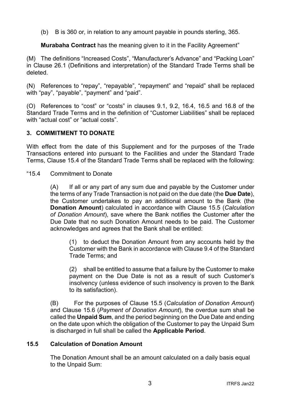(b) B is 360 or, in relation to any amount payable in pounds sterling, 365.

**Murabaha Contract** has the meaning given to it in the Facility Agreement"

(M) The definitions "Increased Costs", "Manufacturer's Advance" and "Packing Loan" in Clause 26.1 (Definitions and interpretation) of the Standard Trade Terms shall be deleted.

(N) References to "repay", "repayable", "repayment" and "repaid" shall be replaced with "pay", "payable", "payment" and "paid".

(O) References to "cost" or "costs" in clauses 9.1, 9.2, 16.4, 16.5 and 16.8 of the Standard Trade Terms and in the definition of "Customer Liabilities" shall be replaced with "actual cost" or "actual costs".

## **3. COMMITMENT TO DONATE**

With effect from the date of this Supplement and for the purposes of the Trade Transactions entered into pursuant to the Facilities and under the Standard Trade Terms, Clause 15.4 of the Standard Trade Terms shall be replaced with the following:

"15.4 Commitment to Donate

(A) If all or any part of any sum due and payable by the Customer under the terms of any Trade Transaction is not paid on the due date (the **Due Date**), the Customer undertakes to pay an additional amount to the Bank (the **Donation Amount**) calculated in accordance with Clause 15.5 (*Calculation of Donation Amount*), save where the Bank notifies the Customer after the Due Date that no such Donation Amount needs to be paid. The Customer acknowledges and agrees that the Bank shall be entitled:

(1) to deduct the Donation Amount from any accounts held by the Customer with the Bank in accordance with Clause 9.4 of the Standard Trade Terms; and

(2) shall be entitled to assume that a failure by the Customer to make payment on the Due Date is not as a result of such Customer's insolvency (unless evidence of such insolvency is proven to the Bank to its satisfaction).

(B) For the purposes of Clause 15.5 (*Calculation of Donation Amount*) and Clause 15.6 (*Payment of Donation Amount*), the overdue sum shall be called the **Unpaid Sum**, and the period beginning on the Due Date and ending on the date upon which the obligation of the Customer to pay the Unpaid Sum is discharged in full shall be called the **Applicable Period**.

#### **15.5 Calculation of Donation Amount**

The Donation Amount shall be an amount calculated on a daily basis equal to the Unpaid Sum: